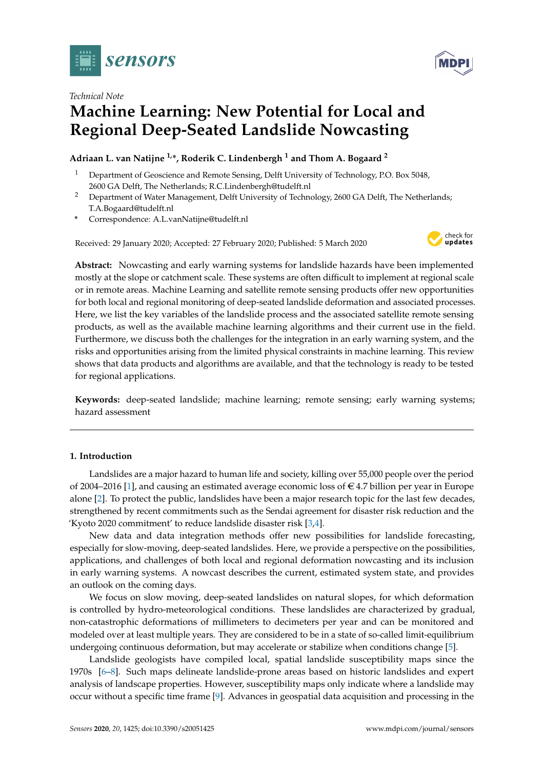



# *Technical Note* **Machine Learning: New Potential for Local and Regional Deep-Seated Landslide Nowcasting**

# **Adriaan L. van Natijne 1,\*, Roderik C. Lindenbergh <sup>1</sup> and Thom A. Bogaard <sup>2</sup>**

- <sup>1</sup> Department of Geoscience and Remote Sensing, Delft University of Technology, P.O. Box 5048, 2600 GA Delft, The Netherlands; R.C.Lindenbergh@tudelft.nl
- <sup>2</sup> Department of Water Management, Delft University of Technology, 2600 GA Delft, The Netherlands; T.A.Bogaard@tudelft.nl
- **\*** Correspondence: A.L.vanNatijne@tudelft.nl

Received: 29 January 2020; Accepted: 27 February 2020; Published: 5 March 2020



**Abstract:** Nowcasting and early warning systems for landslide hazards have been implemented mostly at the slope or catchment scale. These systems are often difficult to implement at regional scale or in remote areas. Machine Learning and satellite remote sensing products offer new opportunities for both local and regional monitoring of deep-seated landslide deformation and associated processes. Here, we list the key variables of the landslide process and the associated satellite remote sensing products, as well as the available machine learning algorithms and their current use in the field. Furthermore, we discuss both the challenges for the integration in an early warning system, and the risks and opportunities arising from the limited physical constraints in machine learning. This review shows that data products and algorithms are available, and that the technology is ready to be tested for regional applications.

**Keywords:** deep-seated landslide; machine learning; remote sensing; early warning systems; hazard assessment

## **1. Introduction**

Landslides are a major hazard to human life and society, killing over 55,000 people over the period of 2004–2016 [\[1\]](#page-11-0), and causing an estimated average economic loss of  $\epsilon$  4.7 billion per year in Europe alone [\[2\]](#page-11-1). To protect the public, landslides have been a major research topic for the last few decades, strengthened by recent commitments such as the Sendai agreement for disaster risk reduction and the 'Kyoto 2020 commitment' to reduce landslide disaster risk [\[3,](#page-11-2)[4\]](#page-11-3).

New data and data integration methods offer new possibilities for landslide forecasting, especially for slow-moving, deep-seated landslides. Here, we provide a perspective on the possibilities, applications, and challenges of both local and regional deformation nowcasting and its inclusion in early warning systems. A nowcast describes the current, estimated system state, and provides an outlook on the coming days.

We focus on slow moving, deep-seated landslides on natural slopes, for which deformation is controlled by hydro-meteorological conditions. These landslides are characterized by gradual, non-catastrophic deformations of millimeters to decimeters per year and can be monitored and modeled over at least multiple years. They are considered to be in a state of so-called limit-equilibrium undergoing continuous deformation, but may accelerate or stabilize when conditions change [\[5\]](#page-11-4).

Landslide geologists have compiled local, spatial landslide susceptibility maps since the 1970s [\[6](#page-11-5)[–8\]](#page-11-6). Such maps delineate landslide-prone areas based on historic landslides and expert analysis of landscape properties. However, susceptibility maps only indicate where a landslide may occur without a specific time frame [\[9\]](#page-11-7). Advances in geospatial data acquisition and processing in the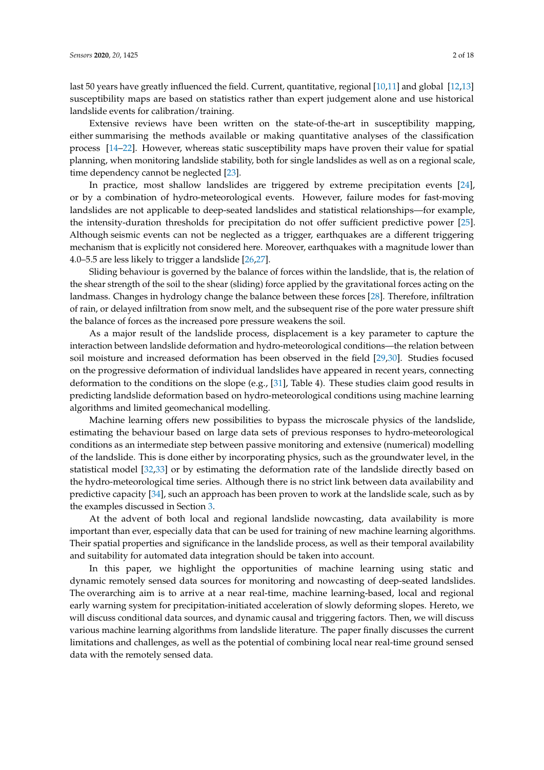last 50 years have greatly influenced the field. Current, quantitative, regional [\[10](#page-11-8)[,11\]](#page-11-9) and global [\[12,](#page-11-10)[13\]](#page-11-11) susceptibility maps are based on statistics rather than expert judgement alone and use historical landslide events for calibration/training.

Extensive reviews have been written on the state-of-the-art in susceptibility mapping, either summarising the methods available or making quantitative analyses of the classification process [\[14–](#page-11-12)[22\]](#page-11-13). However, whereas static susceptibility maps have proven their value for spatial planning, when monitoring landslide stability, both for single landslides as well as on a regional scale, time dependency cannot be neglected [\[23\]](#page-11-14).

In practice, most shallow landslides are triggered by extreme precipitation events [\[24\]](#page-11-15), or by a combination of hydro-meteorological events. However, failure modes for fast-moving landslides are not applicable to deep-seated landslides and statistical relationships—for example, the intensity-duration thresholds for precipitation do not offer sufficient predictive power [\[25\]](#page-12-0). Although seismic events can not be neglected as a trigger, earthquakes are a different triggering mechanism that is explicitly not considered here. Moreover, earthquakes with a magnitude lower than 4.0–5.5 are less likely to trigger a landslide [\[26](#page-12-1)[,27\]](#page-12-2).

Sliding behaviour is governed by the balance of forces within the landslide, that is, the relation of the shear strength of the soil to the shear (sliding) force applied by the gravitational forces acting on the landmass. Changes in hydrology change the balance between these forces [\[28\]](#page-12-3). Therefore, infiltration of rain, or delayed infiltration from snow melt, and the subsequent rise of the pore water pressure shift the balance of forces as the increased pore pressure weakens the soil.

As a major result of the landslide process, displacement is a key parameter to capture the interaction between landslide deformation and hydro-meteorological conditions—the relation between soil moisture and increased deformation has been observed in the field [\[29,](#page-12-4)[30\]](#page-12-5). Studies focused on the progressive deformation of individual landslides have appeared in recent years, connecting deformation to the conditions on the slope (e.g., [\[31\]](#page-12-6), Table 4). These studies claim good results in predicting landslide deformation based on hydro-meteorological conditions using machine learning algorithms and limited geomechanical modelling.

Machine learning offers new possibilities to bypass the microscale physics of the landslide, estimating the behaviour based on large data sets of previous responses to hydro-meteorological conditions as an intermediate step between passive monitoring and extensive (numerical) modelling of the landslide. This is done either by incorporating physics, such as the groundwater level, in the statistical model [\[32](#page-12-7)[,33\]](#page-12-8) or by estimating the deformation rate of the landslide directly based on the hydro-meteorological time series. Although there is no strict link between data availability and predictive capacity [\[34\]](#page-12-9), such an approach has been proven to work at the landslide scale, such as by the examples discussed in Section [3.](#page-4-0)

At the advent of both local and regional landslide nowcasting, data availability is more important than ever, especially data that can be used for training of new machine learning algorithms. Their spatial properties and significance in the landslide process, as well as their temporal availability and suitability for automated data integration should be taken into account.

In this paper, we highlight the opportunities of machine learning using static and dynamic remotely sensed data sources for monitoring and nowcasting of deep-seated landslides. The overarching aim is to arrive at a near real-time, machine learning-based, local and regional early warning system for precipitation-initiated acceleration of slowly deforming slopes. Hereto, we will discuss conditional data sources, and dynamic causal and triggering factors. Then, we will discuss various machine learning algorithms from landslide literature. The paper finally discusses the current limitations and challenges, as well as the potential of combining local near real-time ground sensed data with the remotely sensed data.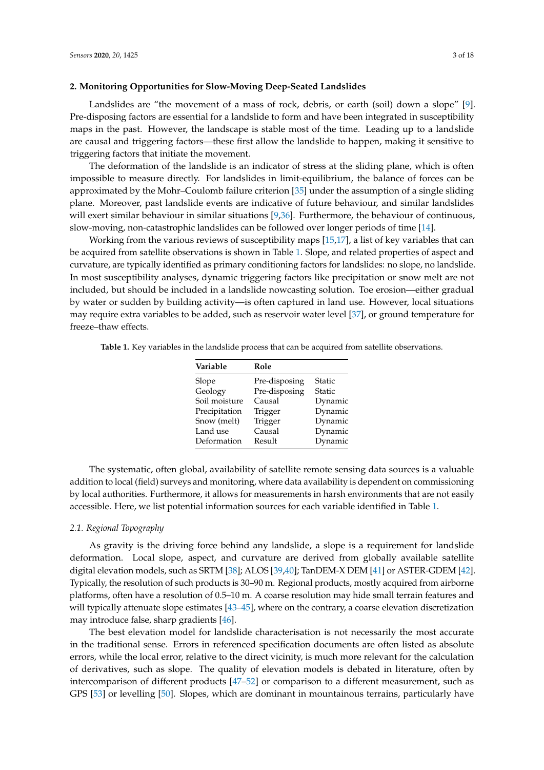#### **2. Monitoring Opportunities for Slow-Moving Deep-Seated Landslides**

Landslides are "the movement of a mass of rock, debris, or earth (soil) down a slope" [\[9\]](#page-11-7). Pre-disposing factors are essential for a landslide to form and have been integrated in susceptibility maps in the past. However, the landscape is stable most of the time. Leading up to a landslide are causal and triggering factors—these first allow the landslide to happen, making it sensitive to triggering factors that initiate the movement.

The deformation of the landslide is an indicator of stress at the sliding plane, which is often impossible to measure directly. For landslides in limit-equilibrium, the balance of forces can be approximated by the Mohr–Coulomb failure criterion [\[35\]](#page-12-10) under the assumption of a single sliding plane. Moreover, past landslide events are indicative of future behaviour, and similar landslides will exert similar behaviour in similar situations [\[9](#page-11-7)[,36\]](#page-12-11). Furthermore, the behaviour of continuous, slow-moving, non-catastrophic landslides can be followed over longer periods of time [\[14\]](#page-11-12).

Working from the various reviews of susceptibility maps [\[15,](#page-11-16)[17\]](#page-11-17), a list of key variables that can be acquired from satellite observations is shown in Table [1.](#page-2-0) Slope, and related properties of aspect and curvature, are typically identified as primary conditioning factors for landslides: no slope, no landslide. In most susceptibility analyses, dynamic triggering factors like precipitation or snow melt are not included, but should be included in a landslide nowcasting solution. Toe erosion—either gradual by water or sudden by building activity—is often captured in land use. However, local situations may require extra variables to be added, such as reservoir water level [\[37\]](#page-12-12), or ground temperature for freeze–thaw effects.

<span id="page-2-0"></span>

| <b>Table 1.</b> Key variables in the landslide process that can be acquired from satellite observations. |  |
|----------------------------------------------------------------------------------------------------------|--|
|----------------------------------------------------------------------------------------------------------|--|

| Variable      | Role          |         |
|---------------|---------------|---------|
| Slope         | Pre-disposing | Static  |
| Geology       | Pre-disposing | Static  |
| Soil moisture | Causal        | Dynamic |
| Precipitation | Trigger       | Dynamic |
| Snow (melt)   | Trigger       | Dynamic |
| Land use      | Causal        | Dynamic |
| Deformation   | Result        | Dynamic |

The systematic, often global, availability of satellite remote sensing data sources is a valuable addition to local (field) surveys and monitoring, where data availability is dependent on commissioning by local authorities. Furthermore, it allows for measurements in harsh environments that are not easily accessible. Here, we list potential information sources for each variable identified in Table [1.](#page-2-0)

#### *2.1. Regional Topography*

As gravity is the driving force behind any landslide, a slope is a requirement for landslide deformation. Local slope, aspect, and curvature are derived from globally available satellite digital elevation models, such as SRTM [\[38\]](#page-12-13); ALOS [\[39](#page-12-14)[,40\]](#page-12-15); TanDEM-X DEM [\[41\]](#page-12-16) or ASTER-GDEM [\[42\]](#page-12-17). Typically, the resolution of such products is 30–90 m. Regional products, mostly acquired from airborne platforms, often have a resolution of 0.5–10 m. A coarse resolution may hide small terrain features and will typically attenuate slope estimates [\[43](#page-12-18)[–45\]](#page-12-19), where on the contrary, a coarse elevation discretization may introduce false, sharp gradients [\[46\]](#page-12-20).

The best elevation model for landslide characterisation is not necessarily the most accurate in the traditional sense. Errors in referenced specification documents are often listed as absolute errors, while the local error, relative to the direct vicinity, is much more relevant for the calculation of derivatives, such as slope. The quality of elevation models is debated in literature, often by intercomparison of different products [\[47](#page-12-21)[–52\]](#page-13-0) or comparison to a different measurement, such as GPS [\[53\]](#page-13-1) or levelling [\[50\]](#page-13-2). Slopes, which are dominant in mountainous terrains, particularly have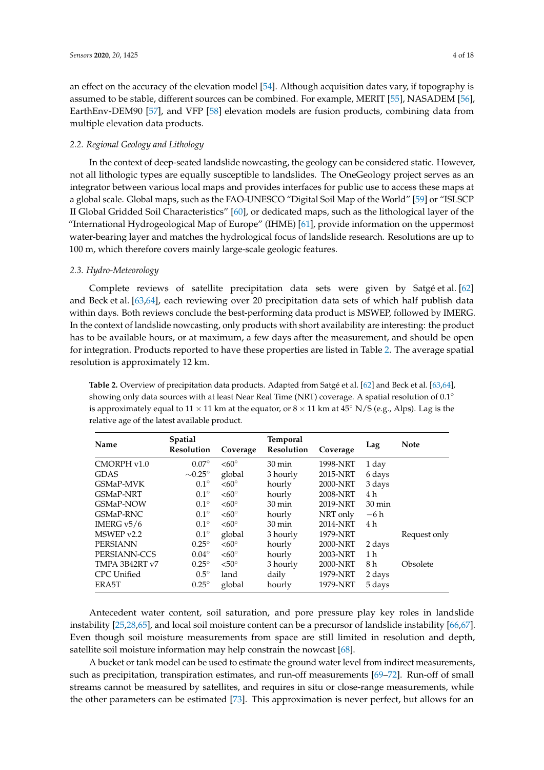an effect on the accuracy of the elevation model [\[54\]](#page-13-3). Although acquisition dates vary, if topography is assumed to be stable, different sources can be combined. For example, MERIT [\[55\]](#page-13-4), NASADEM [\[56\]](#page-13-5), EarthEnv-DEM90 [\[57\]](#page-13-6), and VFP [\[58\]](#page-13-7) elevation models are fusion products, combining data from multiple elevation data products.

## *2.2. Regional Geology and Lithology*

In the context of deep-seated landslide nowcasting, the geology can be considered static. However, not all lithologic types are equally susceptible to landslides. The OneGeology project serves as an integrator between various local maps and provides interfaces for public use to access these maps at a global scale. Global maps, such as the FAO-UNESCO "Digital Soil Map of the World" [\[59\]](#page-13-8) or "ISLSCP II Global Gridded Soil Characteristics" [\[60\]](#page-13-9), or dedicated maps, such as the lithological layer of the "International Hydrogeological Map of Europe" (IHME) [\[61\]](#page-13-10), provide information on the uppermost water-bearing layer and matches the hydrological focus of landslide research. Resolutions are up to 100 m, which therefore covers mainly large-scale geologic features.

#### *2.3. Hydro-Meteorology*

Complete reviews of satellite precipitation data sets were given by Satgé et al. [\[62\]](#page-13-11) and Beck et al. [\[63](#page-13-12)[,64\]](#page-13-13), each reviewing over 20 precipitation data sets of which half publish data within days. Both reviews conclude the best-performing data product is MSWEP, followed by IMERG. In the context of landslide nowcasting, only products with short availability are interesting: the product has to be available hours, or at maximum, a few days after the measurement, and should be open for integration. Products reported to have these properties are listed in Table [2.](#page-3-0) The average spatial resolution is approximately 12 km.

<span id="page-3-0"></span>**Table 2.** Overview of precipitation data products. Adapted from Satgé et al. [\[62\]](#page-13-11) and Beck et al. [\[63](#page-13-12)[,64\]](#page-13-13), showing only data sources with at least Near Real Time (NRT) coverage. A spatial resolution of 0.1<sup>°</sup> is approximately equal to  $11 \times 11$  km at the equator, or  $8 \times 11$  km at  $45°$  N/S (e.g., Alps). Lag is the relative age of the latest available product.

| Name               | <b>Spatial</b><br><b>Resolution</b> | Coverage     | <b>Temporal</b><br>Resolution | Coverage | Lag              | <b>Note</b>  |
|--------------------|-------------------------------------|--------------|-------------------------------|----------|------------------|--------------|
| CMORPH v1.0        | $0.07^\circ$                        | $< 60^\circ$ | $30 \text{ min}$              | 1998-NRT | 1 day            |              |
| <b>GDAS</b>        | $\sim 0.25^{\circ}$                 | global       | 3 hourly                      | 2015-NRT | 6 days           |              |
| <b>GSMaP-MVK</b>   | $0.1^\circ$                         | $< 60^\circ$ | hourly                        | 2000-NRT | 3 days           |              |
| <b>GSMaP-NRT</b>   | $0.1^\circ$                         | $<60^\circ$  | hourly                        | 2008-NRT | 4 h              |              |
| GSMaP-NOW          | $0.1^\circ$                         | $<60^\circ$  | $30 \text{ min}$              | 2019-NRT | $30 \text{ min}$ |              |
| GSMaP-RNC          | $0.1^\circ$                         | $<60^\circ$  | hourly                        | NRT only | $-6h$            |              |
| IMERG $v5/6$       | $0.1^\circ$                         | $<60^\circ$  | $30 \text{ min}$              | 2014-NRT | 4 h              |              |
| MSWEPv2.2          | $0.1^\circ$                         | global       | 3 hourly                      | 1979-NRT |                  | Request only |
| <b>PERSIANN</b>    | $0.25^\circ$                        | $< 60^\circ$ | hourly                        | 2000-NRT | 2 days           |              |
| PERSIANN-CCS       | $0.04^\circ$                        | $<60^\circ$  | hourly                        | 2003-NRT | 1 <sub>h</sub>   |              |
| TMPA 3B42RT v7     | $0.25^{\circ}$                      | $< 50^\circ$ | 3 hourly                      | 2000-NRT | 8 h              | Obsolete     |
| <b>CPC</b> Unified | $0.5^\circ$                         | land         | daily                         | 1979-NRT | 2 days           |              |
| ERA5T              | $0.25^{\circ}$                      | global       | hourly                        | 1979-NRT | 5 days           |              |

Antecedent water content, soil saturation, and pore pressure play key roles in landslide instability [\[25,](#page-12-0)[28,](#page-12-3)[65\]](#page-13-14), and local soil moisture content can be a precursor of landslide instability [\[66](#page-13-15)[,67\]](#page-13-16). Even though soil moisture measurements from space are still limited in resolution and depth, satellite soil moisture information may help constrain the nowcast [\[68\]](#page-13-17).

A bucket or tank model can be used to estimate the ground water level from indirect measurements, such as precipitation, transpiration estimates, and run-off measurements [\[69–](#page-14-0)[72\]](#page-14-1). Run-off of small streams cannot be measured by satellites, and requires in situ or close-range measurements, while the other parameters can be estimated [\[73\]](#page-14-2). This approximation is never perfect, but allows for an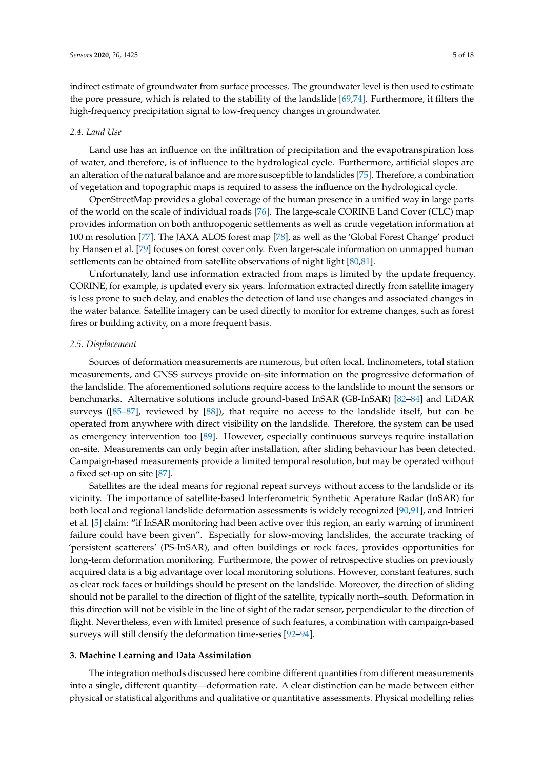indirect estimate of groundwater from surface processes. The groundwater level is then used to estimate the pore pressure, which is related to the stability of the landslide [\[69,](#page-14-0)[74\]](#page-14-3). Furthermore, it filters the high-frequency precipitation signal to low-frequency changes in groundwater.

#### *2.4. Land Use*

Land use has an influence on the infiltration of precipitation and the evapotranspiration loss of water, and therefore, is of influence to the hydrological cycle. Furthermore, artificial slopes are an alteration of the natural balance and are more susceptible to landslides [\[75\]](#page-14-4). Therefore, a combination of vegetation and topographic maps is required to assess the influence on the hydrological cycle.

OpenStreetMap provides a global coverage of the human presence in a unified way in large parts of the world on the scale of individual roads [\[76\]](#page-14-5). The large-scale CORINE Land Cover (CLC) map provides information on both anthropogenic settlements as well as crude vegetation information at 100 m resolution [\[77\]](#page-14-6). The JAXA ALOS forest map [\[78\]](#page-14-7), as well as the 'Global Forest Change' product by Hansen et al. [\[79\]](#page-14-8) focuses on forest cover only. Even larger-scale information on unmapped human settlements can be obtained from satellite observations of night light [\[80,](#page-14-9)[81\]](#page-14-10).

Unfortunately, land use information extracted from maps is limited by the update frequency. CORINE, for example, is updated every six years. Information extracted directly from satellite imagery is less prone to such delay, and enables the detection of land use changes and associated changes in the water balance. Satellite imagery can be used directly to monitor for extreme changes, such as forest fires or building activity, on a more frequent basis.

## *2.5. Displacement*

Sources of deformation measurements are numerous, but often local. Inclinometers, total station measurements, and GNSS surveys provide on-site information on the progressive deformation of the landslide. The aforementioned solutions require access to the landslide to mount the sensors or benchmarks. Alternative solutions include ground-based InSAR (GB-InSAR) [\[82–](#page-14-11)[84\]](#page-14-12) and LiDAR surveys ([\[85](#page-14-13)[–87\]](#page-14-14), reviewed by [\[88\]](#page-14-15)), that require no access to the landslide itself, but can be operated from anywhere with direct visibility on the landslide. Therefore, the system can be used as emergency intervention too [\[89\]](#page-14-16). However, especially continuous surveys require installation on-site. Measurements can only begin after installation, after sliding behaviour has been detected. Campaign-based measurements provide a limited temporal resolution, but may be operated without a fixed set-up on site [\[87\]](#page-14-14).

Satellites are the ideal means for regional repeat surveys without access to the landslide or its vicinity. The importance of satellite-based Interferometric Synthetic Aperature Radar (InSAR) for both local and regional landslide deformation assessments is widely recognized [\[90,](#page-14-17)[91\]](#page-15-0), and Intrieri et al. [\[5\]](#page-11-4) claim: "if InSAR monitoring had been active over this region, an early warning of imminent failure could have been given". Especially for slow-moving landslides, the accurate tracking of 'persistent scatterers' (PS-InSAR), and often buildings or rock faces, provides opportunities for long-term deformation monitoring. Furthermore, the power of retrospective studies on previously acquired data is a big advantage over local monitoring solutions. However, constant features, such as clear rock faces or buildings should be present on the landslide. Moreover, the direction of sliding should not be parallel to the direction of flight of the satellite, typically north–south. Deformation in this direction will not be visible in the line of sight of the radar sensor, perpendicular to the direction of flight. Nevertheless, even with limited presence of such features, a combination with campaign-based surveys will still densify the deformation time-series [\[92–](#page-15-1)[94\]](#page-15-2).

## <span id="page-4-0"></span>**3. Machine Learning and Data Assimilation**

The integration methods discussed here combine different quantities from different measurements into a single, different quantity—deformation rate. A clear distinction can be made between either physical or statistical algorithms and qualitative or quantitative assessments. Physical modelling relies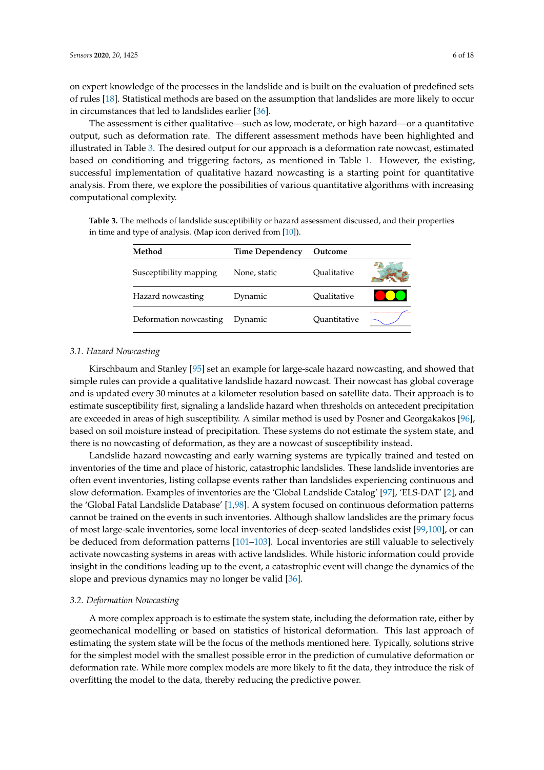on expert knowledge of the processes in the landslide and is built on the evaluation of predefined sets of rules [\[18\]](#page-11-18). Statistical methods are based on the assumption that landslides are more likely to occur in circumstances that led to landslides earlier [\[36\]](#page-12-11).

The assessment is either qualitative—such as low, moderate, or high hazard—or a quantitative output, such as deformation rate. The different assessment methods have been highlighted and illustrated in Table [3.](#page-5-0) The desired output for our approach is a deformation rate nowcast, estimated based on conditioning and triggering factors, as mentioned in Table [1.](#page-2-0) However, the existing, successful implementation of qualitative hazard nowcasting is a starting point for quantitative analysis. From there, we explore the possibilities of various quantitative algorithms with increasing computational complexity.

| Method                 | Time Dependency | Outcome      |  |
|------------------------|-----------------|--------------|--|
| Susceptibility mapping | None, static    | Oualitative  |  |
| Hazard nowcasting      | Dynamic         | Oualitative  |  |
| Deformation nowcasting | Dynamic         | Ouantitative |  |

<span id="page-5-0"></span>**Table 3.** The methods of landslide susceptibility or hazard assessment discussed, and their properties in time and type of analysis. (Map icon derived from [\[10\]](#page-11-8)).

#### *3.1. Hazard Nowcasting*

Kirschbaum and Stanley [\[95\]](#page-15-3) set an example for large-scale hazard nowcasting, and showed that simple rules can provide a qualitative landslide hazard nowcast. Their nowcast has global coverage and is updated every 30 minutes at a kilometer resolution based on satellite data. Their approach is to estimate susceptibility first, signaling a landslide hazard when thresholds on antecedent precipitation are exceeded in areas of high susceptibility. A similar method is used by Posner and Georgakakos [\[96\]](#page-15-4), based on soil moisture instead of precipitation. These systems do not estimate the system state, and there is no nowcasting of deformation, as they are a nowcast of susceptibility instead.

Landslide hazard nowcasting and early warning systems are typically trained and tested on inventories of the time and place of historic, catastrophic landslides. These landslide inventories are often event inventories, listing collapse events rather than landslides experiencing continuous and slow deformation. Examples of inventories are the 'Global Landslide Catalog' [\[97\]](#page-15-5), 'ELS-DAT' [\[2\]](#page-11-1), and the 'Global Fatal Landslide Database' [\[1](#page-11-0)[,98\]](#page-15-6). A system focused on continuous deformation patterns cannot be trained on the events in such inventories. Although shallow landslides are the primary focus of most large-scale inventories, some local inventories of deep-seated landslides exist [\[99](#page-15-7)[,100\]](#page-15-8), or can be deduced from deformation patterns [\[101–](#page-15-9)[103\]](#page-15-10). Local inventories are still valuable to selectively activate nowcasting systems in areas with active landslides. While historic information could provide insight in the conditions leading up to the event, a catastrophic event will change the dynamics of the slope and previous dynamics may no longer be valid [\[36\]](#page-12-11).

## *3.2. Deformation Nowcasting*

A more complex approach is to estimate the system state, including the deformation rate, either by geomechanical modelling or based on statistics of historical deformation. This last approach of estimating the system state will be the focus of the methods mentioned here. Typically, solutions strive for the simplest model with the smallest possible error in the prediction of cumulative deformation or deformation rate. While more complex models are more likely to fit the data, they introduce the risk of overfitting the model to the data, thereby reducing the predictive power.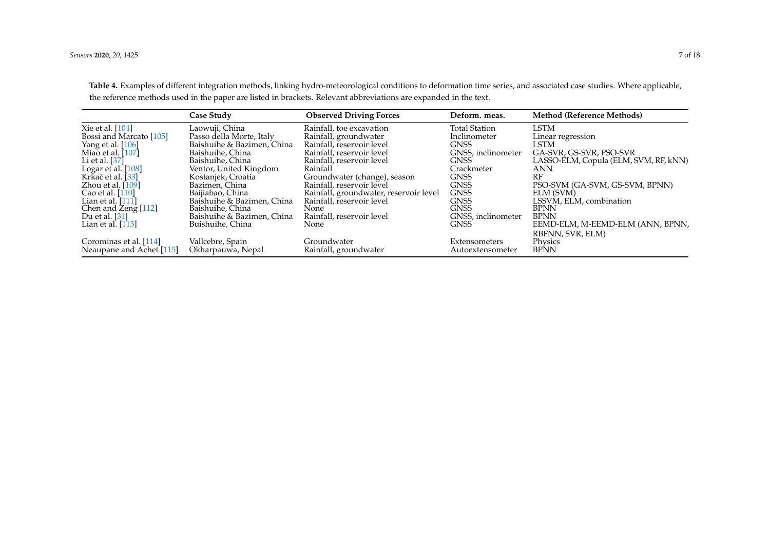<span id="page-6-0"></span>

|                                                    | <b>Case Study</b>                              | <b>Observed Driving Forces</b>                         | Deform. meas.                           | <b>Method (Reference Methods)</b>                                |
|----------------------------------------------------|------------------------------------------------|--------------------------------------------------------|-----------------------------------------|------------------------------------------------------------------|
| Xie et al. [104]                                   | Laowuji, China                                 | Rainfall, toe excavation                               | <b>Total Station</b>                    | LSTM                                                             |
| Bossi and Marcato [105]                            | Passo della Morte, Italy                       | Rainfall, groundwater                                  | Inclinometer                            | Linear regression                                                |
| Yang et al. [106]                                  | Baishuihe & Bazimen, China                     | Rainfall, reservoir level                              | <b>GNSS</b>                             | LSTM                                                             |
| Miao et al. [107]<br>Li et al. $[37]$              | Baishuihe, China<br>Baishuihe, China           | Rainfall, reservoir level<br>Rainfall, reservoir level | GNSS, inclinometer<br>GNSS <sup>®</sup> | GA-SVR, GS-SVR, PSO-SVR<br>LASSO-ELM, Copula (ELM, SVM, RF, kNN) |
| Logar et al. [108]                                 | Ventor, United Kingdom                         | Rainfall                                               | Crackmeter                              | ANN                                                              |
| Krkač et al. [33]                                  | Kostanjek, Croatia                             | Groundwater (change), season                           | <b>GNSS</b>                             | RF                                                               |
| Zhou et al. $[109]$                                | Bazimen, China                                 | Rainfall, reservoir level                              | <b>GNSS</b>                             | PSO-SVM (GA-SVM, GS-SVM, BPNN)                                   |
| Cao et al. [110]                                   | Baijiabao, China                               | Rainfall, groundwater, reservoir level                 | <b>GNSS</b>                             | ELM (SVM)                                                        |
| Lian et al. $[111]$                                | Baishuihe & Bazimen, China                     | Rainfall, reservoir level                              | <b>GNSS</b>                             | LSSVM, ELM, combination                                          |
| Chen and Zeng [112]                                | Baishuihe, China                               | <b>None</b>                                            | <b>GNSS</b>                             | <b>BPNN</b>                                                      |
| Du et al. [31]<br>Lian et al. $[113]$              | Baishuihe & Bazimen, China<br>Buishuihe, China | Rainfall, reservoir level<br>None                      | GNSS, inclinometer<br><b>GNSS</b>       | <b>BPNN</b><br>EEMD-ELM, M-EEMD-ELM (ANN, BPNN,                  |
| Corominas et al. [114]<br>Neaupane and Achet [115] | Vallcebre, Spain<br>Okharpauwa, Nepal          | Groundwater<br>Rainfall, groundwater                   | Extensometers<br>Autoextensometer       | RBFNN, SVR, ELM)<br>Physics<br><b>BPNN</b>                       |

**Table 4.** Examples of different integration methods, linking hydro-meteorological conditions to deformation time series, and associated case studies. Where applicable, the reference methods used in the paper are listed in brackets. Relevant abbreviations are expanded in the text.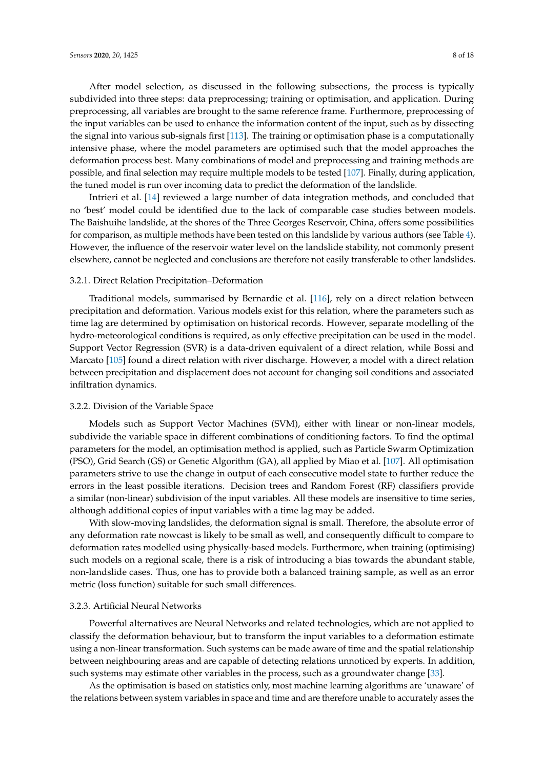After model selection, as discussed in the following subsections, the process is typically subdivided into three steps: data preprocessing; training or optimisation, and application. During preprocessing, all variables are brought to the same reference frame. Furthermore, preprocessing of the input variables can be used to enhance the information content of the input, such as by dissecting the signal into various sub-signals first [\[113\]](#page-16-3). The training or optimisation phase is a computationally intensive phase, where the model parameters are optimised such that the model approaches the deformation process best. Many combinations of model and preprocessing and training methods are possible, and final selection may require multiple models to be tested [\[107\]](#page-15-20). Finally, during application, the tuned model is run over incoming data to predict the deformation of the landslide.

Intrieri et al. [\[14\]](#page-11-12) reviewed a large number of data integration methods, and concluded that no 'best' model could be identified due to the lack of comparable case studies between models. The Baishuihe landslide, at the shores of the Three Georges Reservoir, China, offers some possibilities for comparison, as multiple methods have been tested on this landslide by various authors (see Table [4\)](#page-6-0). However, the influence of the reservoir water level on the landslide stability, not commonly present elsewhere, cannot be neglected and conclusions are therefore not easily transferable to other landslides.

#### 3.2.1. Direct Relation Precipitation–Deformation

Traditional models, summarised by Bernardie et al. [\[116\]](#page-16-4), rely on a direct relation between precipitation and deformation. Various models exist for this relation, where the parameters such as time lag are determined by optimisation on historical records. However, separate modelling of the hydro-meteorological conditions is required, as only effective precipitation can be used in the model. Support Vector Regression (SVR) is a data-driven equivalent of a direct relation, while Bossi and Marcato [\[105\]](#page-15-21) found a direct relation with river discharge. However, a model with a direct relation between precipitation and displacement does not account for changing soil conditions and associated infiltration dynamics.

#### 3.2.2. Division of the Variable Space

Models such as Support Vector Machines (SVM), either with linear or non-linear models, subdivide the variable space in different combinations of conditioning factors. To find the optimal parameters for the model, an optimisation method is applied, such as Particle Swarm Optimization (PSO), Grid Search (GS) or Genetic Algorithm (GA), all applied by Miao et al. [\[107\]](#page-15-20). All optimisation parameters strive to use the change in output of each consecutive model state to further reduce the errors in the least possible iterations. Decision trees and Random Forest (RF) classifiers provide a similar (non-linear) subdivision of the input variables. All these models are insensitive to time series, although additional copies of input variables with a time lag may be added.

With slow-moving landslides, the deformation signal is small. Therefore, the absolute error of any deformation rate nowcast is likely to be small as well, and consequently difficult to compare to deformation rates modelled using physically-based models. Furthermore, when training (optimising) such models on a regional scale, there is a risk of introducing a bias towards the abundant stable, non-landslide cases. Thus, one has to provide both a balanced training sample, as well as an error metric (loss function) suitable for such small differences.

## 3.2.3. Artificial Neural Networks

Powerful alternatives are Neural Networks and related technologies, which are not applied to classify the deformation behaviour, but to transform the input variables to a deformation estimate using a non-linear transformation. Such systems can be made aware of time and the spatial relationship between neighbouring areas and are capable of detecting relations unnoticed by experts. In addition, such systems may estimate other variables in the process, such as a groundwater change [\[33\]](#page-12-8).

As the optimisation is based on statistics only, most machine learning algorithms are 'unaware' of the relations between system variables in space and time and are therefore unable to accurately asses the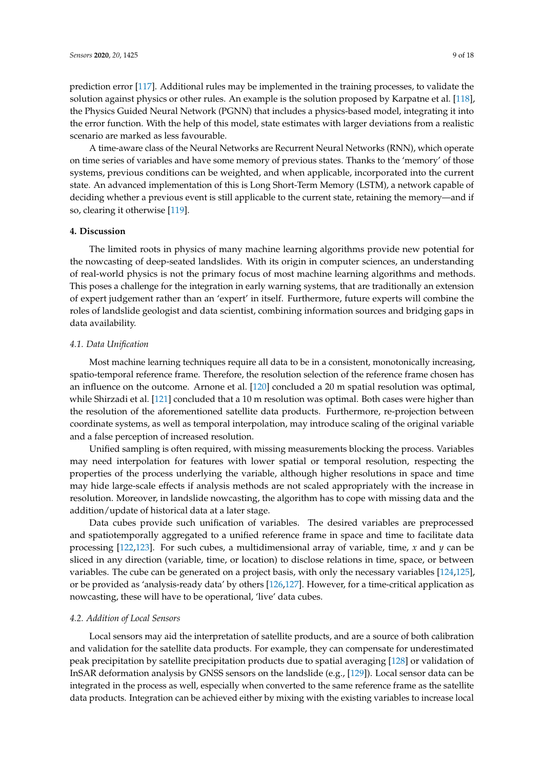prediction error [\[117\]](#page-16-5). Additional rules may be implemented in the training processes, to validate the solution against physics or other rules. An example is the solution proposed by Karpatne et al. [\[118\]](#page-16-6), the Physics Guided Neural Network (PGNN) that includes a physics-based model, integrating it into the error function. With the help of this model, state estimates with larger deviations from a realistic scenario are marked as less favourable.

A time-aware class of the Neural Networks are Recurrent Neural Networks (RNN), which operate on time series of variables and have some memory of previous states. Thanks to the 'memory' of those systems, previous conditions can be weighted, and when applicable, incorporated into the current state. An advanced implementation of this is Long Short-Term Memory (LSTM), a network capable of deciding whether a previous event is still applicable to the current state, retaining the memory—and if so, clearing it otherwise [\[119\]](#page-16-7).

## **4. Discussion**

The limited roots in physics of many machine learning algorithms provide new potential for the nowcasting of deep-seated landslides. With its origin in computer sciences, an understanding of real-world physics is not the primary focus of most machine learning algorithms and methods. This poses a challenge for the integration in early warning systems, that are traditionally an extension of expert judgement rather than an 'expert' in itself. Furthermore, future experts will combine the roles of landslide geologist and data scientist, combining information sources and bridging gaps in data availability.

## *4.1. Data Unification*

Most machine learning techniques require all data to be in a consistent, monotonically increasing, spatio-temporal reference frame. Therefore, the resolution selection of the reference frame chosen has an influence on the outcome. Arnone et al. [\[120\]](#page-16-8) concluded a 20 m spatial resolution was optimal, while Shirzadi et al. [\[121\]](#page-16-9) concluded that a 10 m resolution was optimal. Both cases were higher than the resolution of the aforementioned satellite data products. Furthermore, re-projection between coordinate systems, as well as temporal interpolation, may introduce scaling of the original variable and a false perception of increased resolution.

Unified sampling is often required, with missing measurements blocking the process. Variables may need interpolation for features with lower spatial or temporal resolution, respecting the properties of the process underlying the variable, although higher resolutions in space and time may hide large-scale effects if analysis methods are not scaled appropriately with the increase in resolution. Moreover, in landslide nowcasting, the algorithm has to cope with missing data and the addition/update of historical data at a later stage.

Data cubes provide such unification of variables. The desired variables are preprocessed and spatiotemporally aggregated to a unified reference frame in space and time to facilitate data processing [\[122,](#page-16-10)[123\]](#page-16-11). For such cubes, a multidimensional array of variable, time, *x* and *y* can be sliced in any direction (variable, time, or location) to disclose relations in time, space, or between variables. The cube can be generated on a project basis, with only the necessary variables [\[124,](#page-16-12)[125\]](#page-16-13), or be provided as 'analysis-ready data' by others [\[126,](#page-16-14)[127\]](#page-16-15). However, for a time-critical application as nowcasting, these will have to be operational, 'live' data cubes.

## *4.2. Addition of Local Sensors*

Local sensors may aid the interpretation of satellite products, and are a source of both calibration and validation for the satellite data products. For example, they can compensate for underestimated peak precipitation by satellite precipitation products due to spatial averaging [\[128\]](#page-16-16) or validation of InSAR deformation analysis by GNSS sensors on the landslide (e.g., [\[129\]](#page-16-17)). Local sensor data can be integrated in the process as well, especially when converted to the same reference frame as the satellite data products. Integration can be achieved either by mixing with the existing variables to increase local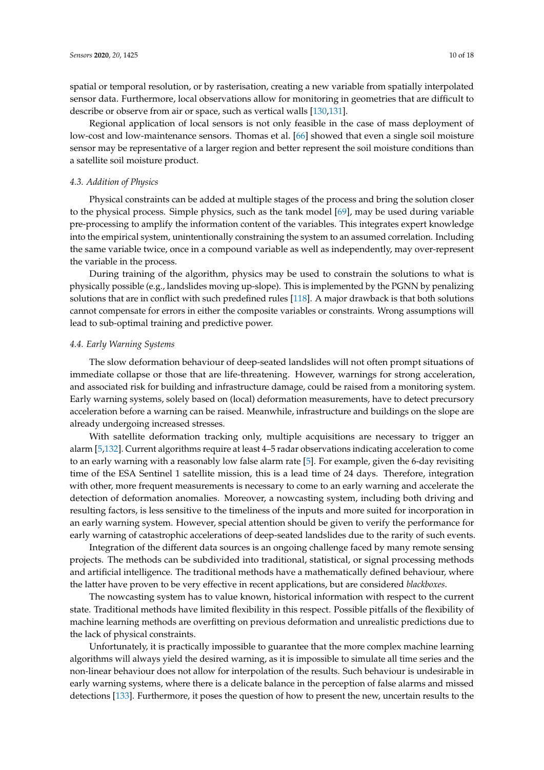spatial or temporal resolution, or by rasterisation, creating a new variable from spatially interpolated sensor data. Furthermore, local observations allow for monitoring in geometries that are difficult to describe or observe from air or space, such as vertical walls [\[130,](#page-16-18)[131\]](#page-16-19).

Regional application of local sensors is not only feasible in the case of mass deployment of low-cost and low-maintenance sensors. Thomas et al. [\[66\]](#page-13-15) showed that even a single soil moisture sensor may be representative of a larger region and better represent the soil moisture conditions than a satellite soil moisture product.

# *4.3. Addition of Physics*

Physical constraints can be added at multiple stages of the process and bring the solution closer to the physical process. Simple physics, such as the tank model [\[69\]](#page-14-0), may be used during variable pre-processing to amplify the information content of the variables. This integrates expert knowledge into the empirical system, unintentionally constraining the system to an assumed correlation. Including the same variable twice, once in a compound variable as well as independently, may over-represent the variable in the process.

During training of the algorithm, physics may be used to constrain the solutions to what is physically possible (e.g., landslides moving up-slope). This is implemented by the PGNN by penalizing solutions that are in conflict with such predefined rules [\[118\]](#page-16-6). A major drawback is that both solutions cannot compensate for errors in either the composite variables or constraints. Wrong assumptions will lead to sub-optimal training and predictive power.

## *4.4. Early Warning Systems*

The slow deformation behaviour of deep-seated landslides will not often prompt situations of immediate collapse or those that are life-threatening. However, warnings for strong acceleration, and associated risk for building and infrastructure damage, could be raised from a monitoring system. Early warning systems, solely based on (local) deformation measurements, have to detect precursory acceleration before a warning can be raised. Meanwhile, infrastructure and buildings on the slope are already undergoing increased stresses.

With satellite deformation tracking only, multiple acquisitions are necessary to trigger an alarm [\[5](#page-11-4)[,132\]](#page-16-20). Current algorithms require at least 4–5 radar observations indicating acceleration to come to an early warning with a reasonably low false alarm rate [\[5\]](#page-11-4). For example, given the 6-day revisiting time of the ESA Sentinel 1 satellite mission, this is a lead time of 24 days. Therefore, integration with other, more frequent measurements is necessary to come to an early warning and accelerate the detection of deformation anomalies. Moreover, a nowcasting system, including both driving and resulting factors, is less sensitive to the timeliness of the inputs and more suited for incorporation in an early warning system. However, special attention should be given to verify the performance for early warning of catastrophic accelerations of deep-seated landslides due to the rarity of such events.

Integration of the different data sources is an ongoing challenge faced by many remote sensing projects. The methods can be subdivided into traditional, statistical, or signal processing methods and artificial intelligence. The traditional methods have a mathematically defined behaviour, where the latter have proven to be very effective in recent applications, but are considered *blackboxes*.

The nowcasting system has to value known, historical information with respect to the current state. Traditional methods have limited flexibility in this respect. Possible pitfalls of the flexibility of machine learning methods are overfitting on previous deformation and unrealistic predictions due to the lack of physical constraints.

Unfortunately, it is practically impossible to guarantee that the more complex machine learning algorithms will always yield the desired warning, as it is impossible to simulate all time series and the non-linear behaviour does not allow for interpolation of the results. Such behaviour is undesirable in early warning systems, where there is a delicate balance in the perception of false alarms and missed detections [\[133\]](#page-17-0). Furthermore, it poses the question of how to present the new, uncertain results to the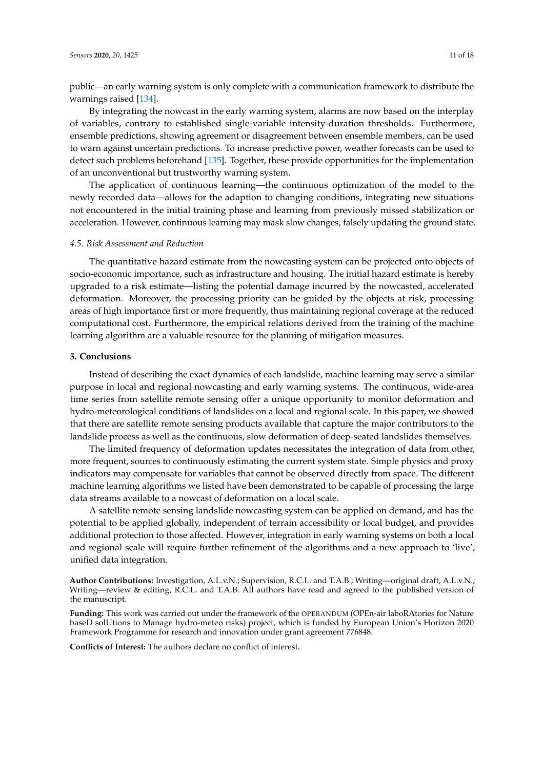public—an early warning system is only complete with a communication framework to distribute the warnings raised [\[134\]](#page-17-1).

By integrating the nowcast in the early warning system, alarms are now based on the interplay of variables, contrary to established single-variable intensity-duration thresholds. Furthermore, ensemble predictions, showing agreement or disagreement between ensemble members, can be used to warn against uncertain predictions. To increase predictive power, weather forecasts can be used to detect such problems beforehand [\[135\]](#page-17-2). Together, these provide opportunities for the implementation of an unconventional but trustworthy warning system.

The application of continuous learning—the continuous optimization of the model to the newly recorded data—allows for the adaption to changing conditions, integrating new situations not encountered in the initial training phase and learning from previously missed stabilization or acceleration. However, continuous learning may mask slow changes, falsely updating the ground state.

#### *4.5. Risk Assessment and Reduction*

The quantitative hazard estimate from the nowcasting system can be projected onto objects of socio-economic importance, such as infrastructure and housing. The initial hazard estimate is hereby upgraded to a risk estimate—listing the potential damage incurred by the nowcasted, accelerated deformation. Moreover, the processing priority can be guided by the objects at risk, processing areas of high importance first or more frequently, thus maintaining regional coverage at the reduced computational cost. Furthermore, the empirical relations derived from the training of the machine learning algorithm are a valuable resource for the planning of mitigation measures.

## **5. Conclusions**

Instead of describing the exact dynamics of each landslide, machine learning may serve a similar purpose in local and regional nowcasting and early warning systems. The continuous, wide-area time series from satellite remote sensing offer a unique opportunity to monitor deformation and hydro-meteorological conditions of landslides on a local and regional scale. In this paper, we showed that there are satellite remote sensing products available that capture the major contributors to the landslide process as well as the continuous, slow deformation of deep-seated landslides themselves.

The limited frequency of deformation updates necessitates the integration of data from other, more frequent, sources to continuously estimating the current system state. Simple physics and proxy indicators may compensate for variables that cannot be observed directly from space. The different machine learning algorithms we listed have been demonstrated to be capable of processing the large data streams available to a nowcast of deformation on a local scale.

A satellite remote sensing landslide nowcasting system can be applied on demand, and has the potential to be applied globally, independent of terrain accessibility or local budget, and provides additional protection to those affected. However, integration in early warning systems on both a local and regional scale will require further refinement of the algorithms and a new approach to 'live', unified data integration.

**Author Contributions:** Investigation, A.L.v.N.; Supervision, R.C.L. and T.A.B.; Writing—original draft, A.L.v.N.; Writing—review & editing, R.C.L. and T.A.B. All authors have read and agreed to the published version of the manuscript.

**Funding:** This work was carried out under the framework of the OPERANDUM (OPEn-air laboRAtories for Nature baseD solUtions to Manage hydro-meteo risks) project, which is funded by European Union's Horizon 2020 Framework Programme for research and innovation under grant agreement 776848.

**Conflicts of Interest:** The authors declare no conflict of interest.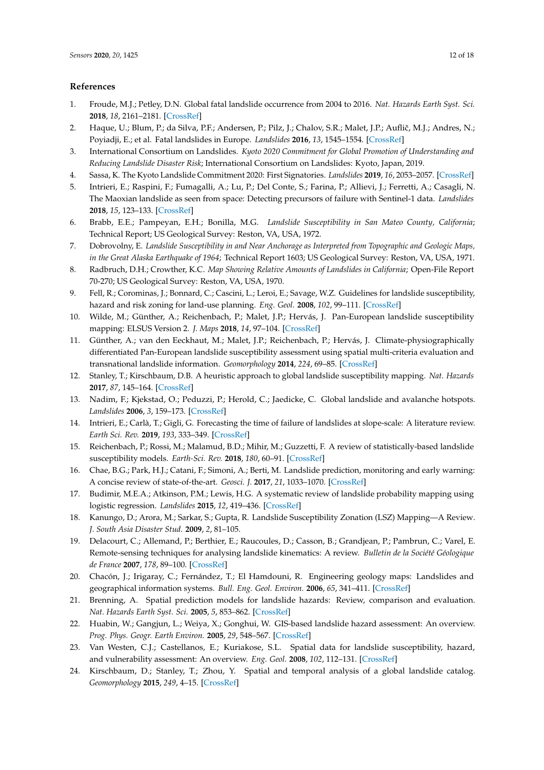## **References**

- <span id="page-11-0"></span>1. Froude, M.J.; Petley, D.N. Global fatal landslide occurrence from 2004 to 2016. *Nat. Hazards Earth Syst. Sci.* **2018**, *18*, 2161–2181. [\[CrossRef\]](http://dx.doi.org/10.5194/nhess-18-2161-2018)
- <span id="page-11-1"></span>2. Haque, U.; Blum, P.; da Silva, P.F.; Andersen, P.; Pilz, J.; Chalov, S.R.; Malet, J.P.; Auflič, M.J.; Andres, N.; Poyiadji, E.; et al. Fatal landslides in Europe. *Landslides* **2016**, *13*, 1545–1554. [\[CrossRef\]](http://dx.doi.org/10.1007/s10346-016-0689-3)
- <span id="page-11-2"></span>3. International Consortium on Landslides. *Kyoto 2020 Commitment for Global Promotion of Understanding and Reducing Landslide Disaster Risk*; International Consortium on Landslides: Kyoto, Japan, 2019.
- <span id="page-11-3"></span>4. Sassa, K. The Kyoto Landslide Commitment 2020: First Signatories. *Landslides* **2019**, *16*, 2053–2057. [\[CrossRef\]](http://dx.doi.org/10.1007/s10346-019-01295-4)
- <span id="page-11-4"></span>5. Intrieri, E.; Raspini, F.; Fumagalli, A.; Lu, P.; Del Conte, S.; Farina, P.; Allievi, J.; Ferretti, A.; Casagli, N. The Maoxian landslide as seen from space: Detecting precursors of failure with Sentinel-1 data. *Landslides* **2018**, *15*, 123–133. [\[CrossRef\]](http://dx.doi.org/10.1007/s10346-017-0915-7)
- <span id="page-11-5"></span>6. Brabb, E.E.; Pampeyan, E.H.; Bonilla, M.G. *Landslide Susceptibility in San Mateo County, California*; Technical Report; US Geological Survey: Reston, VA, USA, 1972.
- 7. Dobrovolny, E. *Landslide Susceptibility in and Near Anchorage as Interpreted from Topographic and Geologic Maps, in the Great Alaska Earthquake of 1964*; Technical Report 1603; US Geological Survey: Reston, VA, USA, 1971.
- <span id="page-11-6"></span>8. Radbruch, D.H.; Crowther, K.C. *Map Showing Relative Amounts of Landslides in California*; Open-File Report 70-270; US Geological Survey: Reston, VA, USA, 1970.
- <span id="page-11-7"></span>9. Fell, R.; Corominas, J.; Bonnard, C.; Cascini, L.; Leroi, E.; Savage, W.Z. Guidelines for landslide susceptibility, hazard and risk zoning for land-use planning. *Eng. Geol.* **2008**, *102*, 99–111. [\[CrossRef\]](http://dx.doi.org/10.1016/j.enggeo.2008.03.014)
- <span id="page-11-8"></span>10. Wilde, M.; Günther, A.; Reichenbach, P.; Malet, J.P.; Hervás, J. Pan-European landslide susceptibility mapping: ELSUS Version 2. *J. Maps* **2018**, *14*, 97–104. [\[CrossRef\]](http://dx.doi.org/10.1080/17445647.2018.1432511)
- <span id="page-11-9"></span>11. Günther, A.; van den Eeckhaut, M.; Malet, J.P.; Reichenbach, P.; Hervás, J. Climate-physiographically differentiated Pan-European landslide susceptibility assessment using spatial multi-criteria evaluation and transnational landslide information. *Geomorphology* **2014**, *224*, 69–85. [\[CrossRef\]](http://dx.doi.org/10.1016/j.geomorph.2014.07.011)
- <span id="page-11-10"></span>12. Stanley, T.; Kirschbaum, D.B. A heuristic approach to global landslide susceptibility mapping. *Nat. Hazards* **2017**, *87*, 145–164. [\[CrossRef\]](http://dx.doi.org/10.1007/s11069-017-2757-y)
- <span id="page-11-11"></span>13. Nadim, F.; Kjekstad, O.; Peduzzi, P.; Herold, C.; Jaedicke, C. Global landslide and avalanche hotspots. *Landslides* **2006**, *3*, 159–173. [\[CrossRef\]](http://dx.doi.org/10.1007/s10346-006-0036-1)
- <span id="page-11-12"></span>14. Intrieri, E.; Carlà, T.; Gigli, G. Forecasting the time of failure of landslides at slope-scale: A literature review. *Earth Sci. Rev.* **2019**, *193*, 333–349. [\[CrossRef\]](http://dx.doi.org/10.1016/j.earscirev.2019.03.019)
- <span id="page-11-16"></span>15. Reichenbach, P.; Rossi, M.; Malamud, B.D.; Mihir, M.; Guzzetti, F. A review of statistically-based landslide susceptibility models. *Earth-Sci. Rev.* **2018**, *180*, 60–91. [\[CrossRef\]](http://dx.doi.org/10.1016/j.earscirev.2018.03.001)
- 16. Chae, B.G.; Park, H.J.; Catani, F.; Simoni, A.; Berti, M. Landslide prediction, monitoring and early warning: A concise review of state-of-the-art. *Geosci. J.* **2017**, *21*, 1033–1070. [\[CrossRef\]](http://dx.doi.org/10.1007/s12303-017-0034-4)
- <span id="page-11-17"></span>17. Budimir, M.E.A.; Atkinson, P.M.; Lewis, H.G. A systematic review of landslide probability mapping using logistic regression. *Landslides* **2015**, *12*, 419–436. [\[CrossRef\]](http://dx.doi.org/10.1007/s10346-014-0550-5)
- <span id="page-11-18"></span>18. Kanungo, D.; Arora, M.; Sarkar, S.; Gupta, R. Landslide Susceptibility Zonation (LSZ) Mapping—A Review. *J. South Asia Disaster Stud.* **2009**, *2*, 81–105.
- 19. Delacourt, C.; Allemand, P.; Berthier, E.; Raucoules, D.; Casson, B.; Grandjean, P.; Pambrun, C.; Varel, E. Remote-sensing techniques for analysing landslide kinematics: A review. *Bulletin de la Société Géologique de France* **2007**, *178*, 89–100. [\[CrossRef\]](http://dx.doi.org/10.2113/gssgfbull.178.2.89)
- 20. Chacón, J.; Irigaray, C.; Fernández, T.; El Hamdouni, R. Engineering geology maps: Landslides and geographical information systems. *Bull. Eng. Geol. Environ.* **2006**, *65*, 341–411. [\[CrossRef\]](http://dx.doi.org/10.1007/s10064-006-0064-z)
- 21. Brenning, A. Spatial prediction models for landslide hazards: Review, comparison and evaluation. *Nat. Hazards Earth Syst. Sci.* **2005**, *5*, 853–862. [\[CrossRef\]](http://dx.doi.org/10.5194/nhess-5-853-2005)
- <span id="page-11-13"></span>22. Huabin, W.; Gangjun, L.; Weiya, X.; Gonghui, W. GIS-based landslide hazard assessment: An overview. *Prog. Phys. Geogr. Earth Environ.* **2005**, *29*, 548–567. [\[CrossRef\]](http://dx.doi.org/10.1191/0309133305pp462ra)
- <span id="page-11-14"></span>23. Van Westen, C.J.; Castellanos, E.; Kuriakose, S.L. Spatial data for landslide susceptibility, hazard, and vulnerability assessment: An overview. *Eng. Geol.* **2008**, *102*, 112–131. [\[CrossRef\]](http://dx.doi.org/10.1016/j.enggeo.2008.03.010)
- <span id="page-11-15"></span>24. Kirschbaum, D.; Stanley, T.; Zhou, Y. Spatial and temporal analysis of a global landslide catalog. *Geomorphology* **2015**, *249*, 4–15. [\[CrossRef\]](http://dx.doi.org/10.1016/j.geomorph.2015.03.016)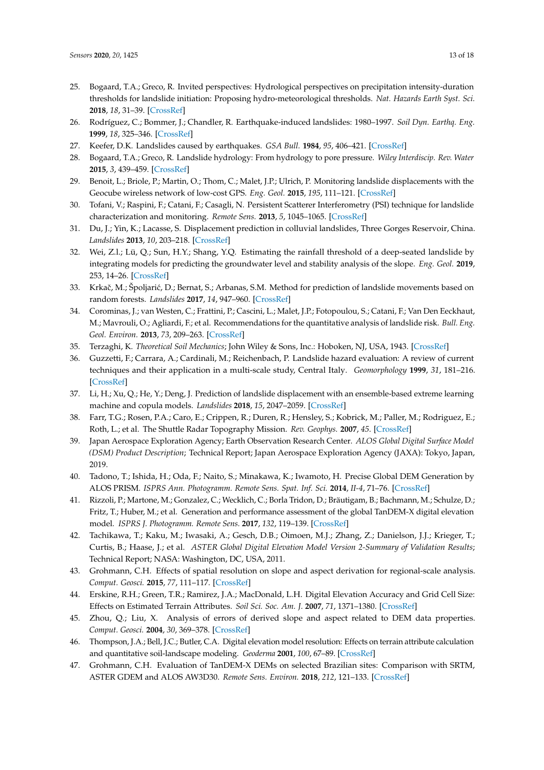- <span id="page-12-24"></span><span id="page-12-23"></span><span id="page-12-0"></span>25. Bogaard, T.A.; Greco, R. Invited perspectives: Hydrological perspectives on precipitation intensity-duration thresholds for landslide initiation: Proposing hydro-meteorological thresholds. *Nat. Hazards Earth Syst. Sci.* **2018**, *18*, 31–39. [\[CrossRef\]](http://dx.doi.org/10.5194/nhess-18-31-2018)
- <span id="page-12-1"></span>26. Rodríguez, C.; Bommer, J.; Chandler, R. Earthquake-induced landslides: 1980–1997. *Soil Dyn. Earthq. Eng.* **1999**, *18*, 325–346. [\[CrossRef\]](http://dx.doi.org/10.1016/S0267-7261(99)00012-3)
- <span id="page-12-2"></span>27. Keefer, D.K. Landslides caused by earthquakes. *GSA Bull.* **1984**, *95*, 406–421. [\[CrossRef\]](http://dx.doi.org/10.1130/0016-7606(1984)95<406:LCBE>2.0.CO;2)
- <span id="page-12-22"></span><span id="page-12-3"></span>28. Bogaard, T.A.; Greco, R. Landslide hydrology: From hydrology to pore pressure. *Wiley Interdiscip. Rev. Water* **2015**, *3*, 439–459. [\[CrossRef\]](http://dx.doi.org/10.1002/wat2.1126)
- <span id="page-12-4"></span>29. Benoit, L.; Briole, P.; Martin, O.; Thom, C.; Malet, J.P.; Ulrich, P. Monitoring landslide displacements with the Geocube wireless network of low-cost GPS. *Eng. Geol.* **2015**, *195*, 111–121. [\[CrossRef\]](http://dx.doi.org/10.1016/j.enggeo.2015.05.020)
- <span id="page-12-5"></span>30. Tofani, V.; Raspini, F.; Catani, F.; Casagli, N. Persistent Scatterer Interferometry (PSI) technique for landslide characterization and monitoring. *Remote Sens.* **2013**, *5*, 1045–1065. [\[CrossRef\]](http://dx.doi.org/10.3390/rs5031045)
- <span id="page-12-6"></span>31. Du, J.; Yin, K.; Lacasse, S. Displacement prediction in colluvial landslides, Three Gorges Reservoir, China. *Landslides* **2013**, *10*, 203–218. [\[CrossRef\]](http://dx.doi.org/10.1007/s10346-012-0326-8)
- <span id="page-12-7"></span>32. Wei, Z.l.; Lü, Q.; Sun, H.Y.; Shang, Y.Q. Estimating the rainfall threshold of a deep-seated landslide by integrating models for predicting the groundwater level and stability analysis of the slope. *Eng. Geol.* **2019**, 253, 14–26. [\[CrossRef\]](http://dx.doi.org/10.1016/j.enggeo.2019.02.026)
- <span id="page-12-8"></span>33. Krkač, M.; Špoljarić, D.; Bernat, S.; Arbanas, S.M. Method for prediction of landslide movements based on random forests. *Landslides* **2017**, *14*, 947–960. [\[CrossRef\]](http://dx.doi.org/10.1007/s10346-016-0761-z)
- <span id="page-12-9"></span>34. Corominas, J.; van Westen, C.; Frattini, P.; Cascini, L.; Malet, J.P.; Fotopoulou, S.; Catani, F.; Van Den Eeckhaut, M.; Mavrouli, O.; Agliardi, F.; et al. Recommendations for the quantitative analysis of landslide risk. *Bull. Eng. Geol. Environ.* **2013**, *73*, 209–263. [\[CrossRef\]](http://dx.doi.org/10.1007/s10064-013-0538-8)
- <span id="page-12-10"></span>35. Terzaghi, K. *Theoretical Soil Mechanics*; John Wiley & Sons, Inc.: Hoboken, NJ, USA, 1943. [\[CrossRef\]](http://dx.doi.org/10.1002/9780470172766)
- <span id="page-12-11"></span>36. Guzzetti, F.; Carrara, A.; Cardinali, M.; Reichenbach, P. Landslide hazard evaluation: A review of current techniques and their application in a multi-scale study, Central Italy. *Geomorphology* **1999**, *31*, 181–216. [\[CrossRef\]](http://dx.doi.org/10.1016/S0169-555X(99)00078-1)
- <span id="page-12-12"></span>37. Li, H.; Xu, Q.; He, Y.; Deng, J. Prediction of landslide displacement with an ensemble-based extreme learning machine and copula models. *Landslides* **2018**, *15*, 2047–2059. [\[CrossRef\]](http://dx.doi.org/10.1007/s10346-018-1020-2)
- <span id="page-12-13"></span>38. Farr, T.G.; Rosen, P.A.; Caro, E.; Crippen, R.; Duren, R.; Hensley, S.; Kobrick, M.; Paller, M.; Rodriguez, E.; Roth, L.; et al. The Shuttle Radar Topography Mission. *Rev. Geophys.* **2007**, *45*. [\[CrossRef\]](http://dx.doi.org/10.1029/2005RG000183)
- <span id="page-12-14"></span>39. Japan Aerospace Exploration Agency; Earth Observation Research Center. *ALOS Global Digital Surface Model (DSM) Product Description*; Technical Report; Japan Aerospace Exploration Agency (JAXA): Tokyo, Japan, 2019.
- <span id="page-12-15"></span>40. Tadono, T.; Ishida, H.; Oda, F.; Naito, S.; Minakawa, K.; Iwamoto, H. Precise Global DEM Generation by ALOS PRISM. *ISPRS Ann. Photogramm. Remote Sens. Spat. Inf. Sci.* **2014**, *II-4*, 71–76. [\[CrossRef\]](http://dx.doi.org/10.5194/isprsannals-II-4-71-2014)
- <span id="page-12-16"></span>41. Rizzoli, P.; Martone, M.; Gonzalez, C.; Wecklich, C.; Borla Tridon, D.; Bräutigam, B.; Bachmann, M.; Schulze, D.; Fritz, T.; Huber, M.; et al. Generation and performance assessment of the global TanDEM-X digital elevation model. *ISPRS J. Photogramm. Remote Sens.* **2017**, *132*, 119–139. [\[CrossRef\]](http://dx.doi.org/10.1016/j.isprsjprs.2017.08.008)
- <span id="page-12-17"></span>42. Tachikawa, T.; Kaku, M.; Iwasaki, A.; Gesch, D.B.; Oimoen, M.J.; Zhang, Z.; Danielson, J.J.; Krieger, T.; Curtis, B.; Haase, J.; et al. *ASTER Global Digital Elevation Model Version 2-Summary of Validation Results*; Technical Report; NASA: Washington, DC, USA, 2011.
- <span id="page-12-18"></span>43. Grohmann, C.H. Effects of spatial resolution on slope and aspect derivation for regional-scale analysis. *Comput. Geosci.* **2015**, *77*, 111–117. [\[CrossRef\]](http://dx.doi.org/10.1016/j.cageo.2015.02.003)
- 44. Erskine, R.H.; Green, T.R.; Ramirez, J.A.; MacDonald, L.H. Digital Elevation Accuracy and Grid Cell Size: Effects on Estimated Terrain Attributes. *Soil Sci. Soc. Am. J.* **2007**, *71*, 1371–1380. [\[CrossRef\]](http://dx.doi.org/10.2136/sssaj2005.0142)
- <span id="page-12-19"></span>45. Zhou, Q.; Liu, X. Analysis of errors of derived slope and aspect related to DEM data properties. *Comput. Geosci.* **2004**, *30*, 369–378. [\[CrossRef\]](http://dx.doi.org/10.1016/j.cageo.2003.07.005)
- <span id="page-12-20"></span>46. Thompson, J.A.; Bell, J.C.; Butler, C.A. Digital elevation model resolution: Effects on terrain attribute calculation and quantitative soil-landscape modeling. *Geoderma* **2001**, *100*, 67–89. [\[CrossRef\]](http://dx.doi.org/10.1016/S0016-7061(00)00081-1)
- <span id="page-12-21"></span>47. Grohmann, C.H. Evaluation of TanDEM-X DEMs on selected Brazilian sites: Comparison with SRTM, ASTER GDEM and ALOS AW3D30. *Remote Sens. Environ.* **2018**, *212*, 121–133. [\[CrossRef\]](http://dx.doi.org/10.1016/j.rse.2018.04.043)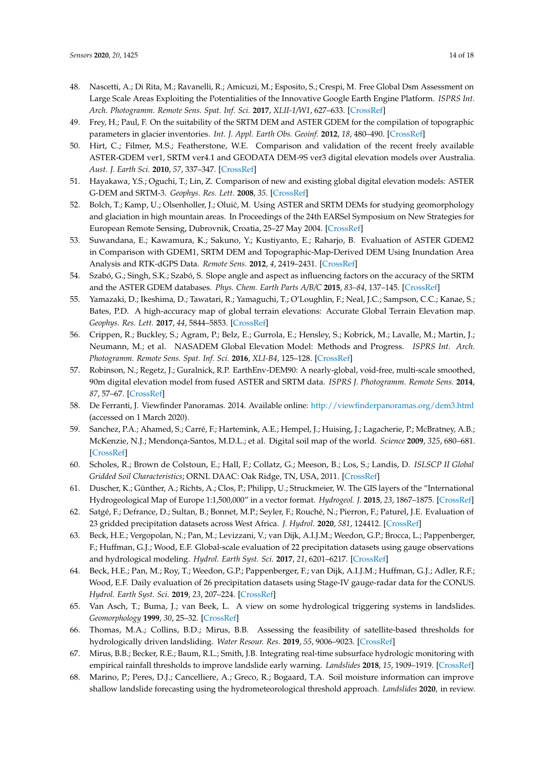- 48. Nascetti, A.; Di Rita, M.; Ravanelli, R.; Amicuzi, M.; Esposito, S.; Crespi, M. Free Global Dsm Assessment on Large Scale Areas Exploiting the Potentialities of the Innovative Google Earth Engine Platform. *ISPRS Int. Arch. Photogramm. Remote Sens. Spat. Inf. Sci.* **2017**, *XLII-1/W1*, 627–633. [\[CrossRef\]](http://dx.doi.org/10.5194/isprs-archives-XLII-1-W1-627-2017)
- 49. Frey, H.; Paul, F. On the suitability of the SRTM DEM and ASTER GDEM for the compilation of topographic parameters in glacier inventories. *Int. J. Appl. Earth Obs. Geoinf.* **2012**, *18*, 480–490. [\[CrossRef\]](http://dx.doi.org/10.1016/j.jag.2011.09.020)
- <span id="page-13-2"></span>50. Hirt, C.; Filmer, M.S.; Featherstone, W.E. Comparison and validation of the recent freely available ASTER-GDEM ver1, SRTM ver4.1 and GEODATA DEM-9S ver3 digital elevation models over Australia. *Aust. J. Earth Sci.* **2010**, *57*, 337–347. [\[CrossRef\]](http://dx.doi.org/10.1080/08120091003677553)
- 51. Hayakawa, Y.S.; Oguchi, T.; Lin, Z. Comparison of new and existing global digital elevation models: ASTER G-DEM and SRTM-3. *Geophys. Res. Lett.* **2008**, *35*. [\[CrossRef\]](http://dx.doi.org/10.1029/2008GL035036)
- <span id="page-13-0"></span>52. Bolch, T.; Kamp, U.; Olsenholler, J.; Oluić, M. Using ASTER and SRTM DEMs for studying geomorphology and glaciation in high mountain areas. In Proceedings of the 24th EARSel Symposium on New Strategies for European Remote Sensing, Dubrovnik, Croatia, 25–27 May 2004. [\[CrossRef\]](http://dx.doi.org/10.5167/uzh-137249)
- <span id="page-13-1"></span>53. Suwandana, E.; Kawamura, K.; Sakuno, Y.; Kustiyanto, E.; Raharjo, B. Evaluation of ASTER GDEM2 in Comparison with GDEM1, SRTM DEM and Topographic-Map-Derived DEM Using Inundation Area Analysis and RTK-dGPS Data. *Remote Sens.* **2012**, *4*, 2419–2431. [\[CrossRef\]](http://dx.doi.org/10.3390/rs4082419)
- <span id="page-13-3"></span>54. Szabó, G.; Singh, S.K.; Szabó, S. Slope angle and aspect as influencing factors on the accuracy of the SRTM and the ASTER GDEM databases. *Phys. Chem. Earth Parts A/B/C* **2015**, *83–84*, 137–145. [\[CrossRef\]](http://dx.doi.org/10.1016/j.pce.2015.06.003)
- <span id="page-13-4"></span>55. Yamazaki, D.; Ikeshima, D.; Tawatari, R.; Yamaguchi, T.; O'Loughlin, F.; Neal, J.C.; Sampson, C.C.; Kanae, S.; Bates, P.D. A high-accuracy map of global terrain elevations: Accurate Global Terrain Elevation map. *Geophys. Res. Lett.* **2017**, *44*, 5844–5853. [\[CrossRef\]](http://dx.doi.org/10.1002/2017GL072874)
- <span id="page-13-5"></span>56. Crippen, R.; Buckley, S.; Agram, P.; Belz, E.; Gurrola, E.; Hensley, S.; Kobrick, M.; Lavalle, M.; Martin, J.; Neumann, M.; et al. NASADEM Global Elevation Model: Methods and Progress. *ISPRS Int. Arch. Photogramm. Remote Sens. Spat. Inf. Sci.* **2016**, *XLI-B4*, 125–128. [\[CrossRef\]](http://dx.doi.org/10.5194/isprsarchives-XLI-B4-125-2016)
- <span id="page-13-6"></span>57. Robinson, N.; Regetz, J.; Guralnick, R.P. EarthEnv-DEM90: A nearly-global, void-free, multi-scale smoothed, 90m digital elevation model from fused ASTER and SRTM data. *ISPRS J. Photogramm. Remote Sens.* **2014**, *87*, 57–67. [\[CrossRef\]](http://dx.doi.org/10.1016/j.isprsjprs.2013.11.002)
- <span id="page-13-7"></span>58. De Ferranti, J. Viewfinder Panoramas. 2014. Available online: <http://viewfinderpanoramas.org/dem3.html> (accessed on 1 March 2020).
- <span id="page-13-8"></span>59. Sanchez, P.A.; Ahamed, S.; Carré, F.; Hartemink, A.E.; Hempel, J.; Huising, J.; Lagacherie, P.; McBratney, A.B.; McKenzie, N.J.; Mendonça-Santos, M.D.L.; et al. Digital soil map of the world. *Science* **2009**, *325*, 680–681. [\[CrossRef\]](http://dx.doi.org/10.1126/science.1175084)
- <span id="page-13-9"></span>60. Scholes, R.; Brown de Colstoun, E.; Hall, F.; Collatz, G.; Meeson, B.; Los, S.; Landis, D. *ISLSCP II Global Gridded Soil Characteristics*; ORNL DAAC: Oak Ridge, TN, USA, 2011. [\[CrossRef\]](http://dx.doi.org/10.3334/ORNLDAAC/1004)
- <span id="page-13-10"></span>61. Duscher, K.; Günther, A.; Richts, A.; Clos, P.; Philipp, U.; Struckmeier, W. The GIS layers of the "International Hydrogeological Map of Europe 1:1,500,000" in a vector format. *Hydrogeol. J.* **2015**, *23*, 1867–1875. [\[CrossRef\]](http://dx.doi.org/10.1007/s10040-015-1296-4)
- <span id="page-13-11"></span>62. Satgé, F.; Defrance, D.; Sultan, B.; Bonnet, M.P.; Seyler, F.; Rouché, N.; Pierron, F.; Paturel, J.E. Evaluation of 23 gridded precipitation datasets across West Africa. *J. Hydrol.* **2020**, *581*, 124412. [\[CrossRef\]](http://dx.doi.org/10.1016/j.jhydrol.2019.124412)
- <span id="page-13-12"></span>63. Beck, H.E.; Vergopolan, N.; Pan, M.; Levizzani, V.; van Dijk, A.I.J.M.; Weedon, G.P.; Brocca, L.; Pappenberger, F.; Huffman, G.J.; Wood, E.F. Global-scale evaluation of 22 precipitation datasets using gauge observations and hydrological modeling. *Hydrol. Earth Syst. Sci.* **2017**, *21*, 6201–6217. [\[CrossRef\]](http://dx.doi.org/10.5194/hess-21-6201-2017)
- <span id="page-13-13"></span>64. Beck, H.E.; Pan, M.; Roy, T.; Weedon, G.P.; Pappenberger, F.; van Dijk, A.I.J.M.; Huffman, G.J.; Adler, R.F.; Wood, E.F. Daily evaluation of 26 precipitation datasets using Stage-IV gauge-radar data for the CONUS. *Hydrol. Earth Syst. Sci.* **2019**, *23*, 207–224. [\[CrossRef\]](http://dx.doi.org/10.5194/hess-23-207-2019)
- <span id="page-13-14"></span>65. Van Asch, T.; Buma, J.; van Beek, L. A view on some hydrological triggering systems in landslides. *Geomorphology* **1999**, *30*, 25–32. [\[CrossRef\]](http://dx.doi.org/10.1016/S0169-555X(99)00042-2)
- <span id="page-13-15"></span>66. Thomas, M.A.; Collins, B.D.; Mirus, B.B. Assessing the feasibility of satellite-based thresholds for hydrologically driven landsliding. *Water Resour. Res.* **2019**, *55*, 9006–9023. [\[CrossRef\]](http://dx.doi.org/10.1029/2019WR025577)
- <span id="page-13-16"></span>67. Mirus, B.B.; Becker, R.E.; Baum, R.L.; Smith, J.B. Integrating real-time subsurface hydrologic monitoring with empirical rainfall thresholds to improve landslide early warning. *Landslides* **2018**, *15*, 1909–1919. [\[CrossRef\]](http://dx.doi.org/10.1007/s10346-018-0995-z)
- <span id="page-13-17"></span>68. Marino, P.; Peres, D.J.; Cancelliere, A.; Greco, R.; Bogaard, T.A. Soil moisture information can improve shallow landslide forecasting using the hydrometeorological threshold approach. *Landslides* **2020**, in review.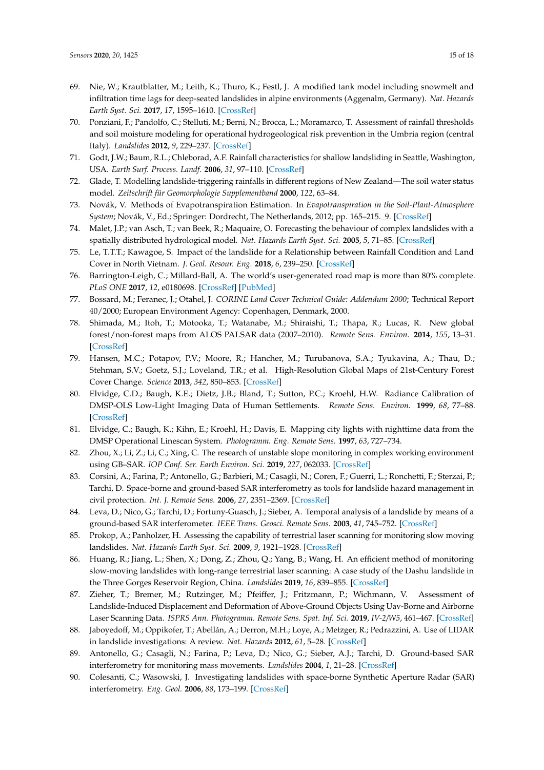- <span id="page-14-0"></span>69. Nie, W.; Krautblatter, M.; Leith, K.; Thuro, K.; Festl, J. A modified tank model including snowmelt and infiltration time lags for deep-seated landslides in alpine environments (Aggenalm, Germany). *Nat. Hazards Earth Syst. Sci.* **2017**, *17*, 1595–1610. [\[CrossRef\]](http://dx.doi.org/10.5194/nhess-17-1595-2017)
- 70. Ponziani, F.; Pandolfo, C.; Stelluti, M.; Berni, N.; Brocca, L.; Moramarco, T. Assessment of rainfall thresholds and soil moisture modeling for operational hydrogeological risk prevention in the Umbria region (central Italy). *Landslides* **2012**, *9*, 229–237. [\[CrossRef\]](http://dx.doi.org/10.1007/s10346-011-0287-3)
- 71. Godt, J.W.; Baum, R.L.; Chleborad, A.F. Rainfall characteristics for shallow landsliding in Seattle, Washington, USA. *Earth Surf. Process. Landf.* **2006**, *31*, 97–110. [\[CrossRef\]](http://dx.doi.org/10.1002/esp.1237)
- <span id="page-14-1"></span>72. Glade, T. Modelling landslide-triggering rainfalls in different regions of New Zealand—The soil water status model. *Zeitschrift für Geomorphologie Supplementband* **2000**, *122*, 63–84.
- <span id="page-14-2"></span>73. Novák, V. Methods of Evapotranspiration Estimation. In *Evapotranspiration in the Soil-Plant-Atmosphere System*; Novák, V., Ed.; Springer: Dordrecht, The Netherlands, 2012; pp. 165–215.\_9. [\[CrossRef\]](http://dx.doi.org/10.1007/978-94-007-3840-9_9)
- <span id="page-14-3"></span>74. Malet, J.P.; van Asch, T.; van Beek, R.; Maquaire, O. Forecasting the behaviour of complex landslides with a spatially distributed hydrological model. *Nat. Hazards Earth Syst. Sci.* **2005**, *5*, 71–85. [\[CrossRef\]](http://dx.doi.org/10.5194/nhess-5-71-2005)
- <span id="page-14-4"></span>75. Le, T.T.T.; Kawagoe, S. Impact of the landslide for a Relationship between Rainfall Condition and Land Cover in North Vietnam. *J. Geol. Resour. Eng.* **2018**, *6*, 239–250. [\[CrossRef\]](http://dx.doi.org/10.17265/2328-2193/2018.06.002)
- <span id="page-14-5"></span>76. Barrington-Leigh, C.; Millard-Ball, A. The world's user-generated road map is more than 80% complete. *PLoS ONE* **2017**, *12*, e0180698. [\[CrossRef\]](http://dx.doi.org/10.1371/journal.pone.0180698) [\[PubMed\]](http://www.ncbi.nlm.nih.gov/pubmed/28797037)
- <span id="page-14-6"></span>77. Bossard, M.; Feranec, J.; Otahel, J. *CORINE Land Cover Technical Guide: Addendum 2000*; Technical Report 40/2000; European Environment Agency: Copenhagen, Denmark, 2000.
- <span id="page-14-7"></span>78. Shimada, M.; Itoh, T.; Motooka, T.; Watanabe, M.; Shiraishi, T.; Thapa, R.; Lucas, R. New global forest/non-forest maps from ALOS PALSAR data (2007–2010). *Remote Sens. Environ.* **2014**, *155*, 13–31. [\[CrossRef\]](http://dx.doi.org/10.1016/j.rse.2014.04.014)
- <span id="page-14-8"></span>79. Hansen, M.C.; Potapov, P.V.; Moore, R.; Hancher, M.; Turubanova, S.A.; Tyukavina, A.; Thau, D.; Stehman, S.V.; Goetz, S.J.; Loveland, T.R.; et al. High-Resolution Global Maps of 21st-Century Forest Cover Change. *Science* **2013**, *342*, 850–853. [\[CrossRef\]](http://dx.doi.org/10.1126/science.1244693)
- <span id="page-14-9"></span>80. Elvidge, C.D.; Baugh, K.E.; Dietz, J.B.; Bland, T.; Sutton, P.C.; Kroehl, H.W. Radiance Calibration of DMSP-OLS Low-Light Imaging Data of Human Settlements. *Remote Sens. Environ.* **1999**, *68*, 77–88. [\[CrossRef\]](http://dx.doi.org/10.1016/S0034-4257(98)00098-4)
- <span id="page-14-10"></span>81. Elvidge, C.; Baugh, K.; Kihn, E.; Kroehl, H.; Davis, E. Mapping city lights with nighttime data from the DMSP Operational Linescan System. *Photogramm. Eng. Remote Sens.* **1997**, *63*, 727–734.
- <span id="page-14-11"></span>82. Zhou, X.; Li, Z.; Li, C.; Xing, C. The research of unstable slope monitoring in complex working environment using GB–SAR. *IOP Conf. Ser. Earth Environ. Sci.* **2019**, *227*, 062033. [\[CrossRef\]](http://dx.doi.org/10.1088/1755-1315/227/6/062033)
- 83. Corsini, A.; Farina, P.; Antonello, G.; Barbieri, M.; Casagli, N.; Coren, F.; Guerri, L.; Ronchetti, F.; Sterzai, P.; Tarchi, D. Space-borne and ground-based SAR interferometry as tools for landslide hazard management in civil protection. *Int. J. Remote Sens.* **2006**, *27*, 2351–2369. [\[CrossRef\]](http://dx.doi.org/10.1080/01431160600554405)
- <span id="page-14-12"></span>84. Leva, D.; Nico, G.; Tarchi, D.; Fortuny-Guasch, J.; Sieber, A. Temporal analysis of a landslide by means of a ground-based SAR interferometer. *IEEE Trans. Geosci. Remote Sens.* **2003**, *41*, 745–752. [\[CrossRef\]](http://dx.doi.org/10.1109/TGRS.2003.808902)
- <span id="page-14-13"></span>85. Prokop, A.; Panholzer, H. Assessing the capability of terrestrial laser scanning for monitoring slow moving landslides. *Nat. Hazards Earth Syst. Sci.* **2009**, *9*, 1921–1928. [\[CrossRef\]](http://dx.doi.org/10.5194/nhess-9-1921-2009)
- 86. Huang, R.; Jiang, L.; Shen, X.; Dong, Z.; Zhou, Q.; Yang, B.; Wang, H. An efficient method of monitoring slow-moving landslides with long-range terrestrial laser scanning: A case study of the Dashu landslide in the Three Gorges Reservoir Region, China. *Landslides* **2019**, *16*, 839–855. [\[CrossRef\]](http://dx.doi.org/10.1007/s10346-018-1118-6)
- <span id="page-14-14"></span>87. Zieher, T.; Bremer, M.; Rutzinger, M.; Pfeiffer, J.; Fritzmann, P.; Wichmann, V. Assessment of Landslide-Induced Displacement and Deformation of Above-Ground Objects Using Uav-Borne and Airborne Laser Scanning Data. *ISPRS Ann. Photogramm. Remote Sens. Spat. Inf. Sci.* **2019**, *IV-2/W5*, 461–467. [\[CrossRef\]](http://dx.doi.org/10.5194/isprs-annals-IV-2-W5-461-2019)
- <span id="page-14-15"></span>88. Jaboyedoff, M.; Oppikofer, T.; Abellán, A.; Derron, M.H.; Loye, A.; Metzger, R.; Pedrazzini, A. Use of LIDAR in landslide investigations: A review. *Nat. Hazards* **2012**, *61*, 5–28. [\[CrossRef\]](http://dx.doi.org/10.1007/s11069-010-9634-2)
- <span id="page-14-16"></span>89. Antonello, G.; Casagli, N.; Farina, P.; Leva, D.; Nico, G.; Sieber, A.J.; Tarchi, D. Ground-based SAR interferometry for monitoring mass movements. *Landslides* **2004**, *1*, 21–28. [\[CrossRef\]](http://dx.doi.org/10.1007/s10346-003-0009-6)
- <span id="page-14-17"></span>90. Colesanti, C.; Wasowski, J. Investigating landslides with space-borne Synthetic Aperture Radar (SAR) interferometry. *Eng. Geol.* **2006**, *88*, 173–199. [\[CrossRef\]](http://dx.doi.org/10.1016/j.enggeo.2006.09.013)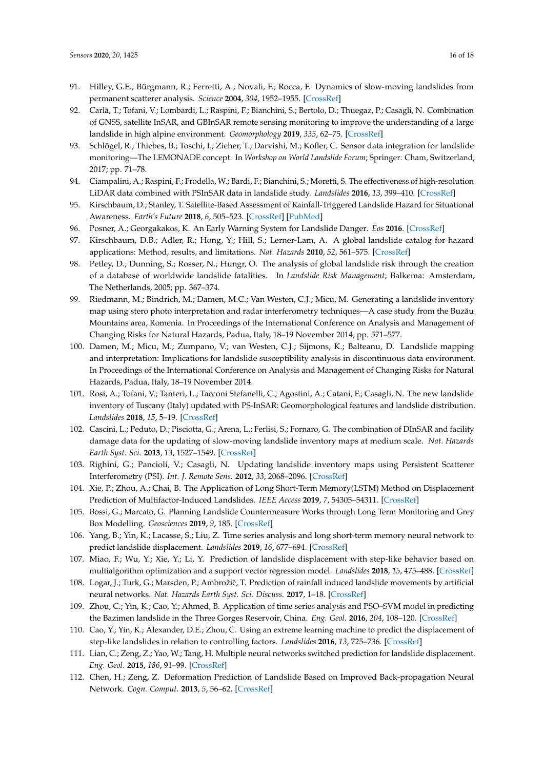- <span id="page-15-0"></span>91. Hilley, G.E.; Bürgmann, R.; Ferretti, A.; Novali, F.; Rocca, F. Dynamics of slow-moving landslides from permanent scatterer analysis. *Science* **2004**, *304*, 1952–1955. [\[CrossRef\]](http://dx.doi.org/10.1126/science.1098821)
- <span id="page-15-1"></span>92. Carlà, T.; Tofani, V.; Lombardi, L.; Raspini, F.; Bianchini, S.; Bertolo, D.; Thuegaz, P.; Casagli, N. Combination of GNSS, satellite InSAR, and GBInSAR remote sensing monitoring to improve the understanding of a large landslide in high alpine environment. *Geomorphology* **2019**, *335*, 62–75. [\[CrossRef\]](http://dx.doi.org/10.1016/j.geomorph.2019.03.014)
- 93. Schlögel, R.; Thiebes, B.; Toschi, I.; Zieher, T.; Darvishi, M.; Kofler, C. Sensor data integration for landslide monitoring—The LEMONADE concept. In *Workshop on World Landslide Forum*; Springer: Cham, Switzerland, 2017; pp. 71–78.
- <span id="page-15-2"></span>94. Ciampalini, A.; Raspini, F.; Frodella, W.; Bardi, F.; Bianchini, S.; Moretti, S. The effectiveness of high-resolution LiDAR data combined with PSInSAR data in landslide study. *Landslides* **2016**, *13*, 399–410. [\[CrossRef\]](http://dx.doi.org/10.1007/s10346-015-0663-5)
- <span id="page-15-3"></span>95. Kirschbaum, D.; Stanley, T. Satellite-Based Assessment of Rainfall-Triggered Landslide Hazard for Situational Awareness. *Earth's Future* **2018**, *6*, 505–523. [\[CrossRef\]](http://dx.doi.org/10.1002/2017EF000715) [\[PubMed\]](http://www.ncbi.nlm.nih.gov/pubmed/31709272)
- <span id="page-15-4"></span>96. Posner, A.; Georgakakos, K. An Early Warning System for Landslide Danger. *Eos* **2016**. [\[CrossRef\]](http://dx.doi.org/10.1029/2016EO062323)
- <span id="page-15-5"></span>97. Kirschbaum, D.B.; Adler, R.; Hong, Y.; Hill, S.; Lerner-Lam, A. A global landslide catalog for hazard applications: Method, results, and limitations. *Nat. Hazards* **2010**, *52*, 561–575. [\[CrossRef\]](http://dx.doi.org/10.1007/s11069-009-9401-4)
- <span id="page-15-12"></span><span id="page-15-11"></span><span id="page-15-6"></span>98. Petley, D.; Dunning, S.; Rosser, N.; Hungr, O. The analysis of global landslide risk through the creation of a database of worldwide landslide fatalities. In *Landslide Risk Management*; Balkema: Amsterdam, The Netherlands, 2005; pp. 367–374.
- <span id="page-15-13"></span><span id="page-15-7"></span>99. Riedmann, M.; Bindrich, M.; Damen, M.C.; Van Westen, C.J.; Micu, M. Generating a landslide inventory map using stero photo interpretation and radar interferometry techniques—A case study from the Buzău Mountains area, Romenia. In Proceedings of the International Conference on Analysis and Management of Changing Risks for Natural Hazards, Padua, Italy, 18–19 November 2014; pp. 571–577.
- <span id="page-15-15"></span><span id="page-15-14"></span><span id="page-15-8"></span>100. Damen, M.; Micu, M.; Zumpano, V.; van Westen, C.J.; Sijmons, K.; Balteanu, D. Landslide mapping and interpretation: Implications for landslide susceptibility analysis in discontinuous data environment. In Proceedings of the International Conference on Analysis and Management of Changing Risks for Natural Hazards, Padua, Italy, 18–19 November 2014.
- <span id="page-15-17"></span><span id="page-15-16"></span><span id="page-15-9"></span>101. Rosi, A.; Tofani, V.; Tanteri, L.; Tacconi Stefanelli, C.; Agostini, A.; Catani, F.; Casagli, N. The new landslide inventory of Tuscany (Italy) updated with PS-InSAR: Geomorphological features and landslide distribution. *Landslides* **2018**, *15*, 5–19. [\[CrossRef\]](http://dx.doi.org/10.1007/s10346-017-0861-4)
- <span id="page-15-18"></span>102. Cascini, L.; Peduto, D.; Pisciotta, G.; Arena, L.; Ferlisi, S.; Fornaro, G. The combination of DInSAR and facility damage data for the updating of slow-moving landslide inventory maps at medium scale. *Nat. Hazards Earth Syst. Sci.* **2013**, *13*, 1527–1549. [\[CrossRef\]](http://dx.doi.org/10.5194/nhess-13-1527-2013)
- <span id="page-15-19"></span><span id="page-15-10"></span>103. Righini, G.; Pancioli, V.; Casagli, N. Updating landslide inventory maps using Persistent Scatterer Interferometry (PSI). *Int. J. Remote Sens.* **2012**, *33*, 2068–2096. [\[CrossRef\]](http://dx.doi.org/10.1080/01431161.2011.605087)
- 104. Xie, P.; Zhou, A.; Chai, B. The Application of Long Short-Term Memory(LSTM) Method on Displacement Prediction of Multifactor-Induced Landslides. *IEEE Access* **2019**, *7*, 54305–54311. [\[CrossRef\]](http://dx.doi.org/10.1109/ACCESS.2019.2912419)
- <span id="page-15-21"></span>105. Bossi, G.; Marcato, G. Planning Landslide Countermeasure Works through Long Term Monitoring and Grey Box Modelling. *Geosciences* **2019**, *9*, 185. [\[CrossRef\]](http://dx.doi.org/10.3390/geosciences9040185)
- 106. Yang, B.; Yin, K.; Lacasse, S.; Liu, Z. Time series analysis and long short-term memory neural network to predict landslide displacement. *Landslides* **2019**, *16*, 677–694. [\[CrossRef\]](http://dx.doi.org/10.1007/s10346-018-01127-x)
- <span id="page-15-20"></span>107. Miao, F.; Wu, Y.; Xie, Y.; Li, Y. Prediction of landslide displacement with step-like behavior based on multialgorithm optimization and a support vector regression model. *Landslides* **2018**, *15*, 475–488. [\[CrossRef\]](http://dx.doi.org/10.1007/s10346-017-0883-y)
- 108. Logar, J.; Turk, G.; Marsden, P.; Ambrožič, T. Prediction of rainfall induced landslide movements by artificial neural networks. *Nat. Hazards Earth Syst. Sci. Discuss.* **2017**, 1–18. [\[CrossRef\]](http://dx.doi.org/10.5194/nhess-2017-253)
- 109. Zhou, C.; Yin, K.; Cao, Y.; Ahmed, B. Application of time series analysis and PSO–SVM model in predicting the Bazimen landslide in the Three Gorges Reservoir, China. *Eng. Geol.* **2016**, *204*, 108–120. [\[CrossRef\]](http://dx.doi.org/10.1016/j.enggeo.2016.02.009)
- 110. Cao, Y.; Yin, K.; Alexander, D.E.; Zhou, C. Using an extreme learning machine to predict the displacement of step-like landslides in relation to controlling factors. *Landslides* **2016**, *13*, 725–736. [\[CrossRef\]](http://dx.doi.org/10.1007/s10346-015-0596-z)
- 111. Lian, C.; Zeng, Z.; Yao, W.; Tang, H. Multiple neural networks switched prediction for landslide displacement. *Eng. Geol.* **2015**, *186*, 91–99. [\[CrossRef\]](http://dx.doi.org/10.1016/j.enggeo.2014.11.014)
- 112. Chen, H.; Zeng, Z. Deformation Prediction of Landslide Based on Improved Back-propagation Neural Network. *Cogn. Comput.* **2013**, *5*, 56–62. [\[CrossRef\]](http://dx.doi.org/10.1007/s12559-012-9148-1)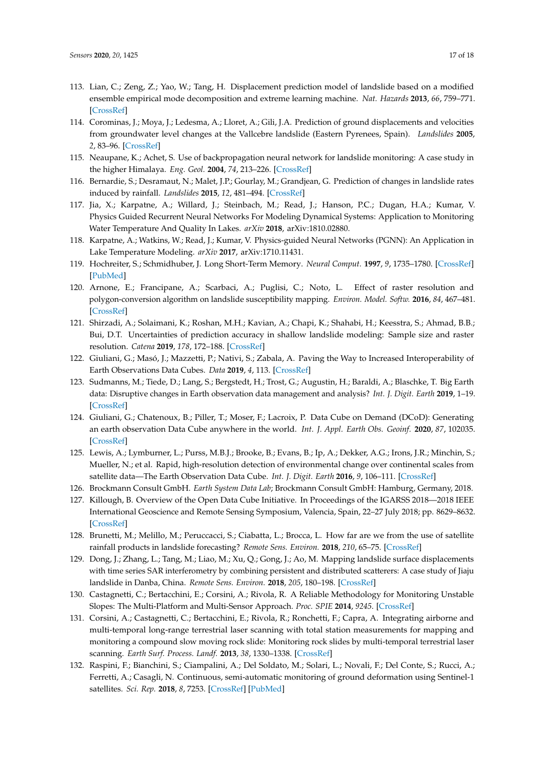- <span id="page-16-3"></span><span id="page-16-2"></span><span id="page-16-1"></span><span id="page-16-0"></span>113. Lian, C.; Zeng, Z.; Yao, W.; Tang, H. Displacement prediction model of landslide based on a modified ensemble empirical mode decomposition and extreme learning machine. *Nat. Hazards* **2013**, *66*, 759–771. [\[CrossRef\]](http://dx.doi.org/10.1007/s11069-012-0517-6)
- 114. Corominas, J.; Moya, J.; Ledesma, A.; Lloret, A.; Gili, J.A. Prediction of ground displacements and velocities from groundwater level changes at the Vallcebre landslide (Eastern Pyrenees, Spain). *Landslides* **2005**, *2*, 83–96. [\[CrossRef\]](http://dx.doi.org/10.1007/s10346-005-0049-1)
- 115. Neaupane, K.; Achet, S. Use of backpropagation neural network for landslide monitoring: A case study in the higher Himalaya. *Eng. Geol.* **2004**, *74*, 213–226. [\[CrossRef\]](http://dx.doi.org/10.1016/j.enggeo.2004.03.010)
- <span id="page-16-4"></span>116. Bernardie, S.; Desramaut, N.; Malet, J.P.; Gourlay, M.; Grandjean, G. Prediction of changes in landslide rates induced by rainfall. *Landslides* **2015**, *12*, 481–494. [\[CrossRef\]](http://dx.doi.org/10.1007/s10346-014-0495-8)
- <span id="page-16-5"></span>117. Jia, X.; Karpatne, A.; Willard, J.; Steinbach, M.; Read, J.; Hanson, P.C.; Dugan, H.A.; Kumar, V. Physics Guided Recurrent Neural Networks For Modeling Dynamical Systems: Application to Monitoring Water Temperature And Quality In Lakes. *arXiv* **2018**, arXiv:1810.02880.
- <span id="page-16-6"></span>118. Karpatne, A.; Watkins, W.; Read, J.; Kumar, V. Physics-guided Neural Networks (PGNN): An Application in Lake Temperature Modeling. *arXiv* **2017**, arXiv:1710.11431.
- <span id="page-16-7"></span>119. Hochreiter, S.; Schmidhuber, J. Long Short-Term Memory. *Neural Comput.* **1997**, *9*, 1735–1780. [\[CrossRef\]](http://dx.doi.org/10.1162/neco.1997.9.8.1735) [\[PubMed\]](http://www.ncbi.nlm.nih.gov/pubmed/9377276)
- <span id="page-16-8"></span>120. Arnone, E.; Francipane, A.; Scarbaci, A.; Puglisi, C.; Noto, L. Effect of raster resolution and polygon-conversion algorithm on landslide susceptibility mapping. *Environ. Model. Softw.* **2016**, *84*, 467–481. [\[CrossRef\]](http://dx.doi.org/10.1016/j.envsoft.2016.07.016)
- <span id="page-16-9"></span>121. Shirzadi, A.; Solaimani, K.; Roshan, M.H.; Kavian, A.; Chapi, K.; Shahabi, H.; Keesstra, S.; Ahmad, B.B.; Bui, D.T. Uncertainties of prediction accuracy in shallow landslide modeling: Sample size and raster resolution. *Catena* **2019**, *178*, 172–188. [\[CrossRef\]](http://dx.doi.org/10.1016/j.catena.2019.03.017)
- <span id="page-16-10"></span>122. Giuliani, G.; Masó, J.; Mazzetti, P.; Nativi, S.; Zabala, A. Paving the Way to Increased Interoperability of Earth Observations Data Cubes. *Data* **2019**, *4*, 113. [\[CrossRef\]](http://dx.doi.org/10.3390/data4030113)
- <span id="page-16-11"></span>123. Sudmanns, M.; Tiede, D.; Lang, S.; Bergstedt, H.; Trost, G.; Augustin, H.; Baraldi, A.; Blaschke, T. Big Earth data: Disruptive changes in Earth observation data management and analysis? *Int. J. Digit. Earth* **2019**, 1–19. [\[CrossRef\]](http://dx.doi.org/10.1080/17538947.2019.1585976)
- <span id="page-16-12"></span>124. Giuliani, G.; Chatenoux, B.; Piller, T.; Moser, F.; Lacroix, P. Data Cube on Demand (DCoD): Generating an earth observation Data Cube anywhere in the world. *Int. J. Appl. Earth Obs. Geoinf.* **2020**, *87*, 102035. [\[CrossRef\]](http://dx.doi.org/10.1016/j.jag.2019.102035)
- <span id="page-16-13"></span>125. Lewis, A.; Lymburner, L.; Purss, M.B.J.; Brooke, B.; Evans, B.; Ip, A.; Dekker, A.G.; Irons, J.R.; Minchin, S.; Mueller, N.; et al. Rapid, high-resolution detection of environmental change over continental scales from satellite data—The Earth Observation Data Cube. *Int. J. Digit. Earth* **2016**, *9*, 106–111. [\[CrossRef\]](http://dx.doi.org/10.1080/17538947.2015.1111952)
- <span id="page-16-14"></span>126. Brockmann Consult GmbH. *Earth System Data Lab*; Brockmann Consult GmbH: Hamburg, Germany, 2018.
- <span id="page-16-15"></span>127. Killough, B. Overview of the Open Data Cube Initiative. In Proceedings of the IGARSS 2018—2018 IEEE International Geoscience and Remote Sensing Symposium, Valencia, Spain, 22–27 July 2018; pp. 8629–8632. [\[CrossRef\]](http://dx.doi.org/10.1109/IGARSS.2018.8517694)
- <span id="page-16-16"></span>128. Brunetti, M.; Melillo, M.; Peruccacci, S.; Ciabatta, L.; Brocca, L. How far are we from the use of satellite rainfall products in landslide forecasting? *Remote Sens. Environ.* **2018**, *210*, 65–75. [\[CrossRef\]](http://dx.doi.org/10.1016/j.rse.2018.03.016)
- <span id="page-16-17"></span>129. Dong, J.; Zhang, L.; Tang, M.; Liao, M.; Xu, Q.; Gong, J.; Ao, M. Mapping landslide surface displacements with time series SAR interferometry by combining persistent and distributed scatterers: A case study of Jiaju landslide in Danba, China. *Remote Sens. Environ.* **2018**, *205*, 180–198. [\[CrossRef\]](http://dx.doi.org/10.1016/j.rse.2017.11.022)
- <span id="page-16-18"></span>130. Castagnetti, C.; Bertacchini, E.; Corsini, A.; Rivola, R. A Reliable Methodology for Monitoring Unstable Slopes: The Multi-Platform and Multi-Sensor Approach. *Proc. SPIE* **2014**, *9245*. [\[CrossRef\]](http://dx.doi.org/10.1117/12.2067407)
- <span id="page-16-19"></span>131. Corsini, A.; Castagnetti, C.; Bertacchini, E.; Rivola, R.; Ronchetti, F.; Capra, A. Integrating airborne and multi-temporal long-range terrestrial laser scanning with total station measurements for mapping and monitoring a compound slow moving rock slide: Monitoring rock slides by multi-temporal terrestrial laser scanning. *Earth Surf. Process. Landf.* **2013**, *38*, 1330–1338. [\[CrossRef\]](http://dx.doi.org/10.1002/esp.3445)
- <span id="page-16-20"></span>132. Raspini, F.; Bianchini, S.; Ciampalini, A.; Del Soldato, M.; Solari, L.; Novali, F.; Del Conte, S.; Rucci, A.; Ferretti, A.; Casagli, N. Continuous, semi-automatic monitoring of ground deformation using Sentinel-1 satellites. *Sci. Rep.* **2018**, *8*, 7253. [\[CrossRef\]](http://dx.doi.org/10.1038/s41598-018-25369-w) [\[PubMed\]](http://www.ncbi.nlm.nih.gov/pubmed/29740009)